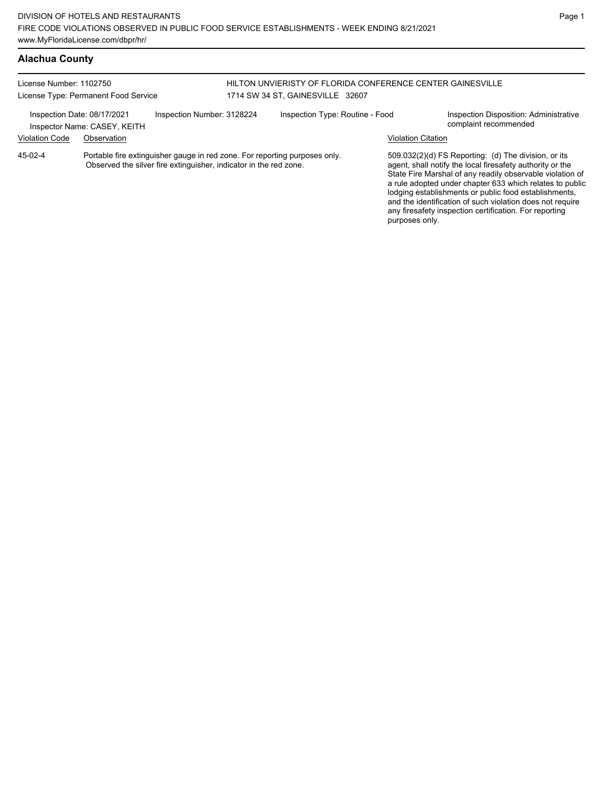### **Alachua County**

License Number: 1102750 License Type: Permanent Food Service HILTON UNVIERISTY OF FLORIDA CONFERENCE CENTER GAINESVILLE 1714 SW 34 ST, GAINESVILLE 32607 Inspection Date: 08/17/2021 Inspection Number: 3128224 Inspection Type: Routine - Food Inspection Disposition: Administrative<br>Inspector Name: CASEY KEITH Inspector Name: CASEY, KEITH Violation Code Observation Violation Citation Portable fire extinguisher gauge in red zone. For reporting purposes only. Observed the silver fire extinguisher, indicator in the red zone. 509.032(2)(d) FS Reporting: (d) The division, or its agent, shall notify the local firesafety authority or the State Fire Marshal of any readily observable violation of a rule adopted under chapter 633 which relates to public lodging establishments or public food establishments, and the identification of such violation does not require 45-02-4

any firesafety inspection certification. For reporting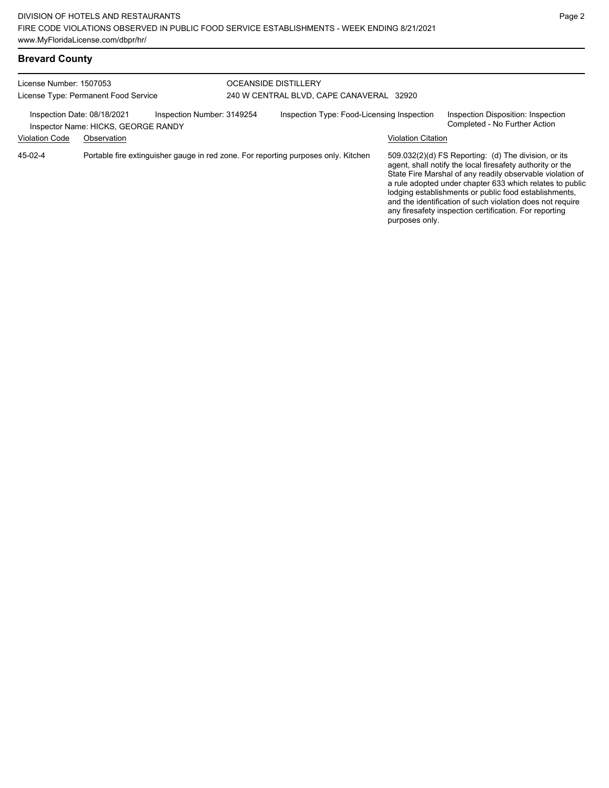## **Brevard County**

| License Number: 1507053<br>License Type: Permanent Food Service<br>Inspection Number: 3149254<br>Inspection Date: 08/18/2021<br>Inspector Name: HICKS, GEORGE RANDY |             | <b>OCEANSIDE DISTILLERY</b><br>240 W CENTRAL BLVD, CAPE CANAVERAL 32920 |                                                                                    |                                                                     |                                                                                                                                                                                                                                                                                                                                                                  |
|---------------------------------------------------------------------------------------------------------------------------------------------------------------------|-------------|-------------------------------------------------------------------------|------------------------------------------------------------------------------------|---------------------------------------------------------------------|------------------------------------------------------------------------------------------------------------------------------------------------------------------------------------------------------------------------------------------------------------------------------------------------------------------------------------------------------------------|
|                                                                                                                                                                     |             | Inspection Type: Food-Licensing Inspection                              |                                                                                    | Inspection Disposition: Inspection<br>Completed - No Further Action |                                                                                                                                                                                                                                                                                                                                                                  |
| <b>Violation Code</b>                                                                                                                                               | Observation |                                                                         |                                                                                    | <b>Violation Citation</b>                                           |                                                                                                                                                                                                                                                                                                                                                                  |
| $45-02-4$                                                                                                                                                           |             |                                                                         | Portable fire extinguisher gauge in red zone. For reporting purposes only. Kitchen |                                                                     | 509.032(2)(d) FS Reporting: (d) The division, or its<br>agent, shall notify the local firesafety authority or the<br>State Fire Marshal of any readily observable violation of<br>a rule adopted under chapter 633 which relates to public<br>lodging establishments or public food establishments,<br>and the identification of such violation does not require |

any firesafety inspection certification. For reporting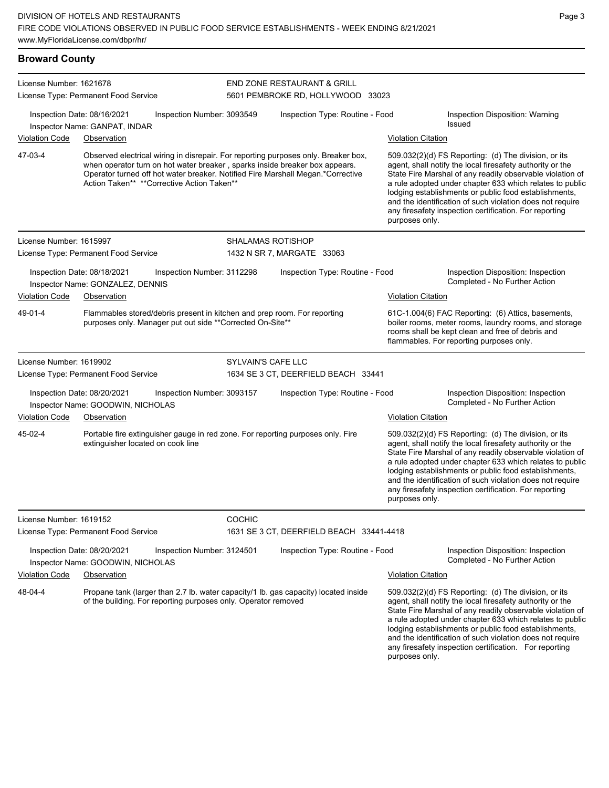| <b>Broward County</b>                                           |                                                                                                                                                                                                                                                                                                    |        |                                                                             |                                          |                           |                                                                                                                                                                                                                                                                                                                                                                                                                            |  |  |
|-----------------------------------------------------------------|----------------------------------------------------------------------------------------------------------------------------------------------------------------------------------------------------------------------------------------------------------------------------------------------------|--------|-----------------------------------------------------------------------------|------------------------------------------|---------------------------|----------------------------------------------------------------------------------------------------------------------------------------------------------------------------------------------------------------------------------------------------------------------------------------------------------------------------------------------------------------------------------------------------------------------------|--|--|
| License Number: 1621678<br>License Type: Permanent Food Service |                                                                                                                                                                                                                                                                                                    |        | <b>END ZONE RESTAURANT &amp; GRILL</b><br>5601 PEMBROKE RD, HOLLYWOOD 33023 |                                          |                           |                                                                                                                                                                                                                                                                                                                                                                                                                            |  |  |
|                                                                 | Inspection Date: 08/16/2021<br>Inspection Number: 3093549<br>Inspector Name: GANPAT, INDAR                                                                                                                                                                                                         |        |                                                                             | Inspection Type: Routine - Food          |                           | Inspection Disposition: Warning<br><b>Issued</b>                                                                                                                                                                                                                                                                                                                                                                           |  |  |
| <b>Violation Code</b>                                           | Observation                                                                                                                                                                                                                                                                                        |        |                                                                             |                                          | <b>Violation Citation</b> |                                                                                                                                                                                                                                                                                                                                                                                                                            |  |  |
| 47-03-4                                                         | Observed electrical wiring in disrepair. For reporting purposes only. Breaker box,<br>when operator turn on hot water breaker, sparks inside breaker box appears.<br>Operator turned off hot water breaker. Notified Fire Marshall Megan.*Corrective<br>Action Taken** **Corrective Action Taken** |        |                                                                             |                                          | purposes only.            | 509.032(2)(d) FS Reporting: (d) The division, or its<br>agent, shall notify the local firesafety authority or the<br>State Fire Marshal of any readily observable violation of<br>a rule adopted under chapter 633 which relates to public<br>lodging establishments or public food establishments,<br>and the identification of such violation does not require<br>any firesafety inspection certification. For reporting |  |  |
| License Number: 1615997                                         |                                                                                                                                                                                                                                                                                                    |        | SHALAMAS ROTISHOP                                                           |                                          |                           |                                                                                                                                                                                                                                                                                                                                                                                                                            |  |  |
|                                                                 | License Type: Permanent Food Service                                                                                                                                                                                                                                                               |        | 1432 N SR 7, MARGATE 33063                                                  |                                          |                           |                                                                                                                                                                                                                                                                                                                                                                                                                            |  |  |
|                                                                 | Inspection Date: 08/18/2021<br>Inspection Number: 3112298<br>Inspector Name: GONZALEZ, DENNIS                                                                                                                                                                                                      |        |                                                                             | Inspection Type: Routine - Food          |                           | Inspection Disposition: Inspection<br>Completed - No Further Action                                                                                                                                                                                                                                                                                                                                                        |  |  |
| <b>Violation Code</b>                                           | Observation                                                                                                                                                                                                                                                                                        |        |                                                                             |                                          | <b>Violation Citation</b> |                                                                                                                                                                                                                                                                                                                                                                                                                            |  |  |
| 49-01-4                                                         | Flammables stored/debris present in kitchen and prep room. For reporting<br>purposes only. Manager put out side **Corrected On-Site**                                                                                                                                                              |        |                                                                             |                                          |                           | 61C-1.004(6) FAC Reporting: (6) Attics, basements,<br>boiler rooms, meter rooms, laundry rooms, and storage<br>rooms shall be kept clean and free of debris and<br>flammables. For reporting purposes only.                                                                                                                                                                                                                |  |  |
| License Number: 1619902                                         |                                                                                                                                                                                                                                                                                                    |        | SYLVAIN'S CAFE LLC                                                          |                                          |                           |                                                                                                                                                                                                                                                                                                                                                                                                                            |  |  |
|                                                                 | License Type: Permanent Food Service                                                                                                                                                                                                                                                               |        |                                                                             | 1634 SE 3 CT, DEERFIELD BEACH 33441      |                           |                                                                                                                                                                                                                                                                                                                                                                                                                            |  |  |
|                                                                 | Inspection Date: 08/20/2021<br>Inspection Number: 3093157<br>Inspector Name: GOODWIN, NICHOLAS                                                                                                                                                                                                     |        |                                                                             | Inspection Type: Routine - Food          |                           | Inspection Disposition: Inspection<br>Completed - No Further Action                                                                                                                                                                                                                                                                                                                                                        |  |  |
| <b>Violation Code</b>                                           | Observation                                                                                                                                                                                                                                                                                        |        |                                                                             |                                          | <b>Violation Citation</b> |                                                                                                                                                                                                                                                                                                                                                                                                                            |  |  |
| 45-02-4                                                         | Portable fire extinguisher gauge in red zone. For reporting purposes only. Fire<br>extinguisher located on cook line                                                                                                                                                                               |        |                                                                             |                                          | purposes only.            | 509.032(2)(d) FS Reporting: (d) The division, or its<br>agent, shall notify the local firesafety authority or the<br>State Fire Marshal of any readily observable violation of<br>a rule adopted under chapter 633 which relates to public<br>lodging establishments or public food establishments,<br>and the identification of such violation does not require<br>any firesafety inspection certification. For reporting |  |  |
| License Number: 1619152                                         |                                                                                                                                                                                                                                                                                                    | COCHIC |                                                                             |                                          |                           |                                                                                                                                                                                                                                                                                                                                                                                                                            |  |  |
|                                                                 | License Type: Permanent Food Service                                                                                                                                                                                                                                                               |        |                                                                             | 1631 SE 3 CT, DEERFIELD BEACH 33441-4418 |                           |                                                                                                                                                                                                                                                                                                                                                                                                                            |  |  |
|                                                                 | Inspection Date: 08/20/2021<br>Inspection Number: 3124501<br>Inspector Name: GOODWIN, NICHOLAS                                                                                                                                                                                                     |        |                                                                             | Inspection Type: Routine - Food          |                           | Inspection Disposition: Inspection<br>Completed - No Further Action                                                                                                                                                                                                                                                                                                                                                        |  |  |
| <b>Violation Code</b>                                           | Observation                                                                                                                                                                                                                                                                                        |        |                                                                             |                                          | <b>Violation Citation</b> |                                                                                                                                                                                                                                                                                                                                                                                                                            |  |  |
| 48-04-4                                                         | Propane tank (larger than 2.7 lb. water capacity/1 lb. gas capacity) located inside<br>of the building. For reporting purposes only. Operator removed                                                                                                                                              |        |                                                                             |                                          |                           | 509.032(2)(d) FS Reporting: (d) The division, or its<br>agent, shall notify the local firesafety authority or the<br>State Fire Marshal of any readily observable violation of<br>a rule adopted under chapter 633 which relates to public<br>lodging establishments or public food establishments,                                                                                                                        |  |  |

and the identification of such violation does not require any firesafety inspection certification. For reporting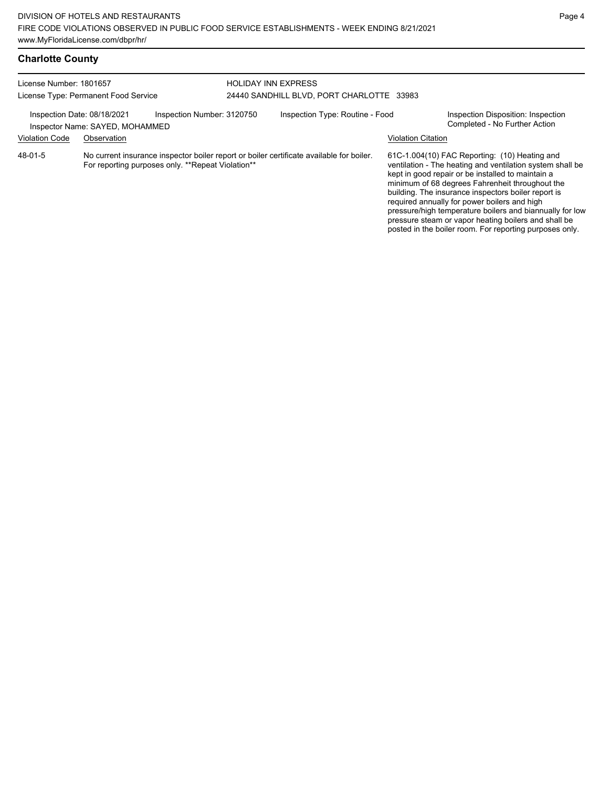| License Number: 1801657<br>License Type: Permanent Food Service                              |             |                                                   | <b>HOLIDAY INN EXPRESS</b>      | 24440 SANDHILL BLVD, PORT CHARLOTTE 33983                                                |                           |                                                                                                                                                                                                                                                                                                                                                                                                                                               |
|----------------------------------------------------------------------------------------------|-------------|---------------------------------------------------|---------------------------------|------------------------------------------------------------------------------------------|---------------------------|-----------------------------------------------------------------------------------------------------------------------------------------------------------------------------------------------------------------------------------------------------------------------------------------------------------------------------------------------------------------------------------------------------------------------------------------------|
| Inspection Number: 3120750<br>Inspection Date: 08/18/2021<br>Inspector Name: SAYED, MOHAMMED |             |                                                   | Inspection Type: Routine - Food |                                                                                          |                           | Inspection Disposition: Inspection<br>Completed - No Further Action                                                                                                                                                                                                                                                                                                                                                                           |
| <b>Violation Code</b>                                                                        | Observation |                                                   |                                 |                                                                                          | <b>Violation Citation</b> |                                                                                                                                                                                                                                                                                                                                                                                                                                               |
| 48-01-5                                                                                      |             | For reporting purposes only. **Repeat Violation** |                                 | No current insurance inspector boiler report or boiler certificate available for boiler. |                           | 61C-1.004(10) FAC Reporting: (10) Heating and<br>ventilation - The heating and ventilation system shall be<br>kept in good repair or be installed to maintain a<br>minimum of 68 degrees Fahrenheit throughout the<br>building. The insurance inspectors boiler report is<br>required annually for power boilers and high<br>pressure/high temperature boilers and biannually for low<br>pressure steam or vapor heating boilers and shall be |

posted in the boiler room. For reporting purposes only.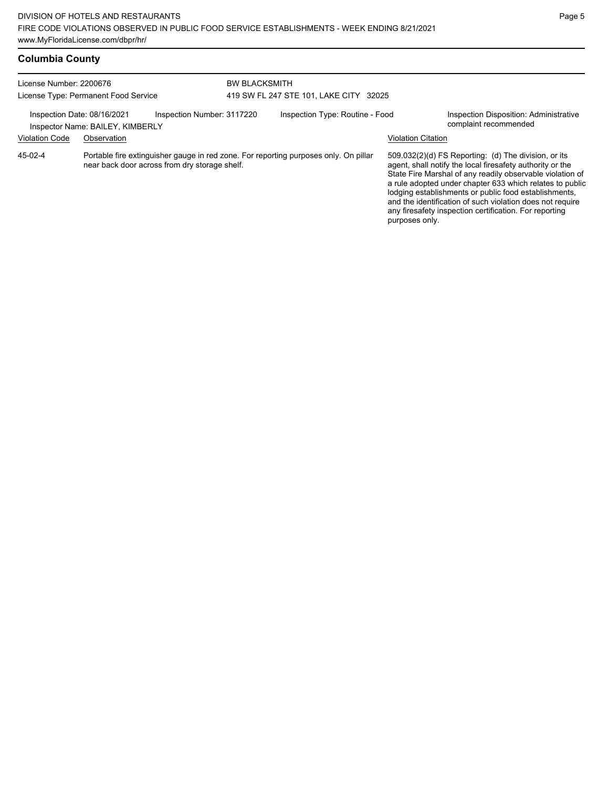| License Number: 2200676<br>License Type: Permanent Food Service                                                                                    |             |  |                                        | <b>BW BLACKSMITH</b> |                                                                                                                                                                                                                                                                                                                                                                                                                            |  |  |  |
|----------------------------------------------------------------------------------------------------------------------------------------------------|-------------|--|----------------------------------------|----------------------|----------------------------------------------------------------------------------------------------------------------------------------------------------------------------------------------------------------------------------------------------------------------------------------------------------------------------------------------------------------------------------------------------------------------------|--|--|--|
|                                                                                                                                                    |             |  | 419 SW FL 247 STE 101, LAKE CITY 32025 |                      |                                                                                                                                                                                                                                                                                                                                                                                                                            |  |  |  |
| Inspection Date: 08/16/2021<br>Inspection Number: 3117220<br>Inspector Name: BAILEY, KIMBERLY                                                      |             |  | Inspection Type: Routine - Food        |                      | Inspection Disposition: Administrative<br>complaint recommended                                                                                                                                                                                                                                                                                                                                                            |  |  |  |
| <b>Violation Code</b>                                                                                                                              | Observation |  |                                        |                      | <b>Violation Citation</b>                                                                                                                                                                                                                                                                                                                                                                                                  |  |  |  |
| $45-02-4$<br>Portable fire extinguisher gauge in red zone. For reporting purposes only. On pillar<br>near back door across from dry storage shelf. |             |  |                                        | purposes only.       | 509.032(2)(d) FS Reporting: (d) The division, or its<br>agent, shall notify the local firesafety authority or the<br>State Fire Marshal of any readily observable violation of<br>a rule adopted under chapter 633 which relates to public<br>lodging establishments or public food establishments,<br>and the identification of such violation does not require<br>any firesafety inspection certification. For reporting |  |  |  |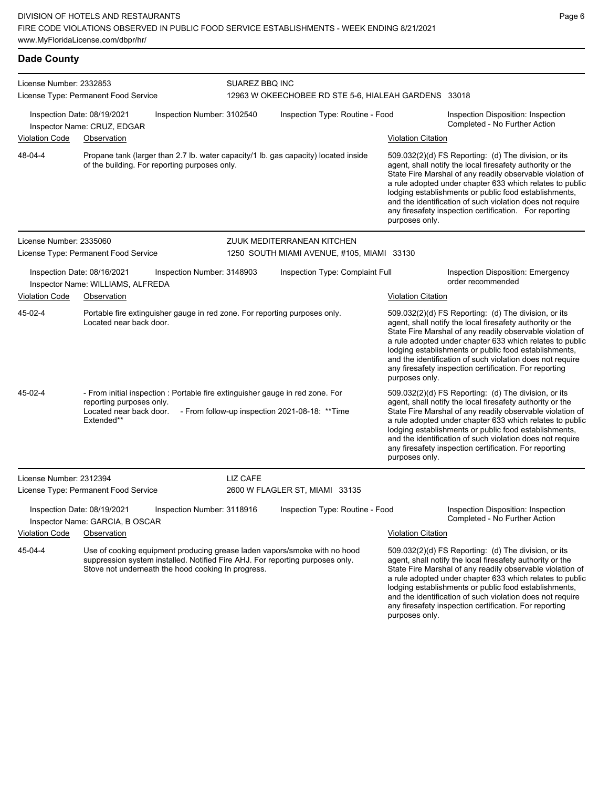### License Number: 2332853 License Type: Permanent Food Service SUAREZ BBQ INC 12963 W OKEECHOBEE RD STE 5-6, HIALEAH GARDENS 33018 Inspection Date: 08/19/2021 Inspection Number: 3102540 Inspection Type: Routine - Food Inspection Disposition: Inspection Completed - No Further Action Inspector Name: CRUZ, EDGAR Violation Code Observation Violation Citation Propane tank (larger than 2.7 lb. water capacity/1 lb. gas capacity) located inside of the building. For reporting purposes only. 509.032(2)(d) FS Reporting: (d) The division, or its agent, shall notify the local firesafety authority or the State Fire Marshal of any readily observable violation of a rule adopted under chapter 633 which relates to public lodging establishments or public food establishments, and the identification of such violation does not require any firesafety inspection certification. For reporting purposes only. 48-04-4 License Number: 2335060 License Type: Permanent Food Service ZUUK MEDITERRANEAN KITCHEN 1250 SOUTH MIAMI AVENUE, #105, MIAMI 33130 Inspection Date: 08/16/2021 Inspection Number: 3148903 Inspection Type: Complaint Full Inspection Disposition: Emergency Inspector Name: WILLIAMS, ALFREDA **Inspector Name: WILLIAMS, ALFREDA** Violation Code Observation **Violation Citation** Violation Citation Citation Portable fire extinguisher gauge in red zone. For reporting purposes only. Located near back door. 509.032(2)(d) FS Reporting: (d) The division, or its agent, shall notify the local firesafety authority or the State Fire Marshal of any readily observable violation of a rule adopted under chapter 633 which relates to public lodging establishments or public food establishments, and the identification of such violation does not require any firesafety inspection certification. For reporting purposes only. 45-02-4 - From initial inspection : Portable fire extinguisher gauge in red zone. For reporting purposes only. Located near back door. - From follow-up inspection 2021-08-18: \*\* Time Extended\*\* 509.032(2)(d) FS Reporting: (d) The division, or its agent, shall notify the local firesafety authority or the State Fire Marshal of any readily observable violation of a rule adopted under chapter 633 which relates to public lodging establishments or public food establishments, and the identification of such violation does not require any firesafety inspection certification. For reporting purposes only. 45-02-4 License Number: 2312394 License Type: Permanent Food Service LIZ CAFE 2600 W FLAGLER ST, MIAMI 33135 Inspection Date: 08/19/2021 Inspection Number: 3118916 Inspection Type: Routine - Food Inspection Disposition: Inspection Inspector Name: GARCIA, B OSCAR **Inspector Name: GARCIA, B OSCAR**

Violation Code Observation **Violation Citation** Violation Citation Citation

**Dade County**

Use of cooking equipment producing grease laden vapors/smoke with no hood suppression system installed. Notified Fire AHJ. For reporting purposes only. Stove not underneath the hood cooking In progress. 45-04-4

509.032(2)(d) FS Reporting: (d) The division, or its agent, shall notify the local firesafety authority or the State Fire Marshal of any readily observable violation of a rule adopted under chapter 633 which relates to public lodging establishments or public food establishments, and the identification of such violation does not require any firesafety inspection certification. For reporting purposes only.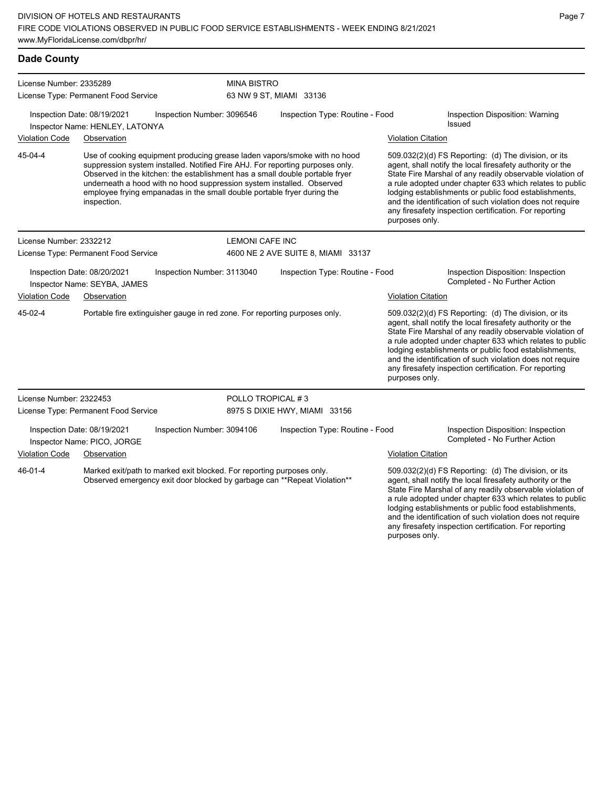| <b>Dade County</b>                                                                                                                                            |                                                                |                                                                                                                                                  |                               |                                                                                                                                                                                                                                            |                                                                                                                                                                                                                                                                                                                                                                                                                                              |                                                                                                                                                                                                                                                                                                                                                                                                                            |  |
|---------------------------------------------------------------------------------------------------------------------------------------------------------------|----------------------------------------------------------------|--------------------------------------------------------------------------------------------------------------------------------------------------|-------------------------------|--------------------------------------------------------------------------------------------------------------------------------------------------------------------------------------------------------------------------------------------|----------------------------------------------------------------------------------------------------------------------------------------------------------------------------------------------------------------------------------------------------------------------------------------------------------------------------------------------------------------------------------------------------------------------------------------------|----------------------------------------------------------------------------------------------------------------------------------------------------------------------------------------------------------------------------------------------------------------------------------------------------------------------------------------------------------------------------------------------------------------------------|--|
| License Number: 2335289<br>License Type: Permanent Food Service                                                                                               |                                                                | <b>MINA BISTRO</b><br>63 NW 9 ST, MIAMI 33136                                                                                                    |                               |                                                                                                                                                                                                                                            |                                                                                                                                                                                                                                                                                                                                                                                                                                              |                                                                                                                                                                                                                                                                                                                                                                                                                            |  |
|                                                                                                                                                               | Inspection Date: 08/19/2021<br>Inspector Name: HENLEY, LATONYA | Inspection Number: 3096546                                                                                                                       |                               | Inspection Type: Routine - Food                                                                                                                                                                                                            |                                                                                                                                                                                                                                                                                                                                                                                                                                              | Inspection Disposition: Warning<br>Issued                                                                                                                                                                                                                                                                                                                                                                                  |  |
| <b>Violation Code</b>                                                                                                                                         | Observation                                                    |                                                                                                                                                  |                               |                                                                                                                                                                                                                                            | <b>Violation Citation</b>                                                                                                                                                                                                                                                                                                                                                                                                                    |                                                                                                                                                                                                                                                                                                                                                                                                                            |  |
| 45-04-4                                                                                                                                                       | inspection.                                                    | underneath a hood with no hood suppression system installed. Observed<br>employee frying empanadas in the small double portable fryer during the |                               | Use of cooking equipment producing grease laden vapors/smoke with no hood<br>suppression system installed. Notified Fire AHJ. For reporting purposes only.<br>Observed in the kitchen: the establishment has a small double portable fryer | 509.032(2)(d) FS Reporting: (d) The division, or its<br>agent, shall notify the local firesafety authority or the<br>State Fire Marshal of any readily observable violation of<br>a rule adopted under chapter 633 which relates to public<br>lodging establishments or public food establishments,<br>and the identification of such violation does not require<br>any firesafety inspection certification. For reporting<br>purposes only. |                                                                                                                                                                                                                                                                                                                                                                                                                            |  |
| License Number: 2332212                                                                                                                                       |                                                                |                                                                                                                                                  | <b>LEMONI CAFE INC</b>        |                                                                                                                                                                                                                                            |                                                                                                                                                                                                                                                                                                                                                                                                                                              |                                                                                                                                                                                                                                                                                                                                                                                                                            |  |
|                                                                                                                                                               | License Type: Permanent Food Service                           |                                                                                                                                                  |                               | 4600 NE 2 AVE SUITE 8, MIAMI 33137                                                                                                                                                                                                         |                                                                                                                                                                                                                                                                                                                                                                                                                                              |                                                                                                                                                                                                                                                                                                                                                                                                                            |  |
|                                                                                                                                                               | Inspection Date: 08/20/2021<br>Inspector Name: SEYBA, JAMES    | Inspection Number: 3113040                                                                                                                       |                               | Inspection Type: Routine - Food                                                                                                                                                                                                            |                                                                                                                                                                                                                                                                                                                                                                                                                                              | Inspection Disposition: Inspection<br>Completed - No Further Action                                                                                                                                                                                                                                                                                                                                                        |  |
| Violation Code                                                                                                                                                | Observation                                                    |                                                                                                                                                  |                               |                                                                                                                                                                                                                                            | <b>Violation Citation</b>                                                                                                                                                                                                                                                                                                                                                                                                                    |                                                                                                                                                                                                                                                                                                                                                                                                                            |  |
| 45-02-4                                                                                                                                                       |                                                                | Portable fire extinguisher gauge in red zone. For reporting purposes only.                                                                       |                               |                                                                                                                                                                                                                                            | purposes only.                                                                                                                                                                                                                                                                                                                                                                                                                               | 509.032(2)(d) FS Reporting: (d) The division, or its<br>agent, shall notify the local firesafety authority or the<br>State Fire Marshal of any readily observable violation of<br>a rule adopted under chapter 633 which relates to public<br>lodging establishments or public food establishments,<br>and the identification of such violation does not require<br>any firesafety inspection certification. For reporting |  |
| License Number: 2322453                                                                                                                                       |                                                                |                                                                                                                                                  | POLLO TROPICAL #3             |                                                                                                                                                                                                                                            |                                                                                                                                                                                                                                                                                                                                                                                                                                              |                                                                                                                                                                                                                                                                                                                                                                                                                            |  |
|                                                                                                                                                               | License Type: Permanent Food Service                           |                                                                                                                                                  | 8975 S DIXIE HWY, MIAMI 33156 |                                                                                                                                                                                                                                            |                                                                                                                                                                                                                                                                                                                                                                                                                                              |                                                                                                                                                                                                                                                                                                                                                                                                                            |  |
|                                                                                                                                                               | Inspection Date: 08/19/2021<br>Inspector Name: PICO, JORGE     | Inspection Number: 3094106                                                                                                                       |                               | Inspection Type: Routine - Food                                                                                                                                                                                                            |                                                                                                                                                                                                                                                                                                                                                                                                                                              | Inspection Disposition: Inspection<br>Completed - No Further Action                                                                                                                                                                                                                                                                                                                                                        |  |
| <b>Violation Code</b>                                                                                                                                         | Observation                                                    |                                                                                                                                                  |                               |                                                                                                                                                                                                                                            | <b>Violation Citation</b>                                                                                                                                                                                                                                                                                                                                                                                                                    |                                                                                                                                                                                                                                                                                                                                                                                                                            |  |
| 46-01-4<br>Marked exit/path to marked exit blocked. For reporting purposes only.<br>Observed emergency exit door blocked by garbage can ** Repeat Violation** |                                                                |                                                                                                                                                  |                               |                                                                                                                                                                                                                                            | 509.032(2)(d) FS Reporting: (d) The division, or its<br>agent, shall notify the local firesafety authority or the<br>State Fire Marshal of any readily observable violation of<br>a rule adopted under chapter 633 which relates to public<br>lodging establishments or public food establishments,<br>and the identification of such violation does not require                                                                             |                                                                                                                                                                                                                                                                                                                                                                                                                            |  |

Page 7

any firesafety inspection certification. For reporting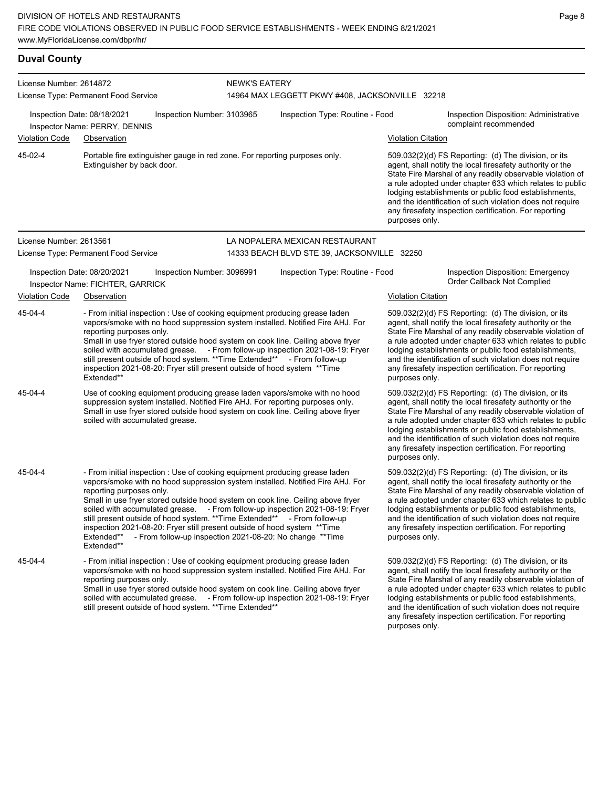### **Duval County**

| License Number: 2614872<br>License Type: Permanent Food Service<br>Inspection Date: 08/18/2021<br>Inspection Number: 3103965<br>Inspector Name: PERRY, DENNIS |                                                                                                                                                                                                                                                                                  |                                                                                                                                                                                                                                                                                                    | <b>NEWK'S EATERY</b><br>14964 MAX LEGGETT PKWY #408, JACKSONVILLE 32218    |                                                                                                                                                                                                                                                    |                           |                                                                                                                                                                                                                                                                                                                                                                                                                            |  |  |
|---------------------------------------------------------------------------------------------------------------------------------------------------------------|----------------------------------------------------------------------------------------------------------------------------------------------------------------------------------------------------------------------------------------------------------------------------------|----------------------------------------------------------------------------------------------------------------------------------------------------------------------------------------------------------------------------------------------------------------------------------------------------|----------------------------------------------------------------------------|----------------------------------------------------------------------------------------------------------------------------------------------------------------------------------------------------------------------------------------------------|---------------------------|----------------------------------------------------------------------------------------------------------------------------------------------------------------------------------------------------------------------------------------------------------------------------------------------------------------------------------------------------------------------------------------------------------------------------|--|--|
|                                                                                                                                                               |                                                                                                                                                                                                                                                                                  |                                                                                                                                                                                                                                                                                                    | Inspection Type: Routine - Food                                            |                                                                                                                                                                                                                                                    |                           | Inspection Disposition: Administrative<br>complaint recommended                                                                                                                                                                                                                                                                                                                                                            |  |  |
| <b>Violation Code</b>                                                                                                                                         | Observation                                                                                                                                                                                                                                                                      |                                                                                                                                                                                                                                                                                                    |                                                                            |                                                                                                                                                                                                                                                    | <b>Violation Citation</b> |                                                                                                                                                                                                                                                                                                                                                                                                                            |  |  |
| 45-02-4                                                                                                                                                       | Extinguisher by back door.                                                                                                                                                                                                                                                       |                                                                                                                                                                                                                                                                                                    | Portable fire extinguisher gauge in red zone. For reporting purposes only. |                                                                                                                                                                                                                                                    | purposes only.            | 509.032(2)(d) FS Reporting: (d) The division, or its<br>agent, shall notify the local firesafety authority or the<br>State Fire Marshal of any readily observable violation of<br>a rule adopted under chapter 633 which relates to public<br>lodging establishments or public food establishments,<br>and the identification of such violation does not require<br>any firesafety inspection certification. For reporting |  |  |
| License Number: 2613561                                                                                                                                       |                                                                                                                                                                                                                                                                                  |                                                                                                                                                                                                                                                                                                    |                                                                            | LA NOPALERA MEXICAN RESTAURANT                                                                                                                                                                                                                     |                           |                                                                                                                                                                                                                                                                                                                                                                                                                            |  |  |
|                                                                                                                                                               | License Type: Permanent Food Service                                                                                                                                                                                                                                             |                                                                                                                                                                                                                                                                                                    |                                                                            | 14333 BEACH BLVD STE 39, JACKSONVILLE 32250                                                                                                                                                                                                        |                           |                                                                                                                                                                                                                                                                                                                                                                                                                            |  |  |
|                                                                                                                                                               | Inspection Date: 08/20/2021<br>Inspector Name: FICHTER, GARRICK                                                                                                                                                                                                                  | Inspection Number: 3096991                                                                                                                                                                                                                                                                         |                                                                            | Inspection Type: Routine - Food                                                                                                                                                                                                                    |                           | Inspection Disposition: Emergency<br>Order Callback Not Complied                                                                                                                                                                                                                                                                                                                                                           |  |  |
| Violation Code                                                                                                                                                | Observation                                                                                                                                                                                                                                                                      |                                                                                                                                                                                                                                                                                                    |                                                                            |                                                                                                                                                                                                                                                    | <b>Violation Citation</b> |                                                                                                                                                                                                                                                                                                                                                                                                                            |  |  |
| 45-04-4                                                                                                                                                       | reporting purposes only.<br>Extended**                                                                                                                                                                                                                                           | - From initial inspection : Use of cooking equipment producing grease laden<br>still present outside of hood system. ** Time Extended** - From follow-up<br>inspection 2021-08-20: Fryer still present outside of hood system ** Time                                                              |                                                                            | vapors/smoke with no hood suppression system installed. Notified Fire AHJ. For<br>Small in use fryer stored outside hood system on cook line. Ceiling above fryer<br>soiled with accumulated grease. - From follow-up inspection 2021-08-19: Fryer | purposes only.            | 509.032(2)(d) FS Reporting: (d) The division, or its<br>agent, shall notify the local firesafety authority or the<br>State Fire Marshal of any readily observable violation of<br>a rule adopted under chapter 633 which relates to public<br>lodging establishments or public food establishments,<br>and the identification of such violation does not require<br>any firesafety inspection certification. For reporting |  |  |
| 45-04-4                                                                                                                                                       | Use of cooking equipment producing grease laden vapors/smoke with no hood<br>suppression system installed. Notified Fire AHJ. For reporting purposes only.<br>Small in use fryer stored outside hood system on cook line. Ceiling above fryer<br>soiled with accumulated grease. |                                                                                                                                                                                                                                                                                                    |                                                                            |                                                                                                                                                                                                                                                    | purposes only.            | 509.032(2)(d) FS Reporting: (d) The division, or its<br>agent, shall notify the local firesafety authority or the<br>State Fire Marshal of any readily observable violation of<br>a rule adopted under chapter 633 which relates to public<br>lodging establishments or public food establishments,<br>and the identification of such violation does not require<br>any firesafety inspection certification. For reporting |  |  |
| 45-04-4                                                                                                                                                       | reporting purposes only.<br>Extended**<br>Extended**                                                                                                                                                                                                                             | - From initial inspection : Use of cooking equipment producing grease laden<br>still present outside of hood system. ** Time Extended** - From follow-up<br>inspection 2021-08-20: Fryer still present outside of hood system ** Time<br>- From follow-up inspection 2021-08-20: No change ** Time |                                                                            | vapors/smoke with no hood suppression system installed. Notified Fire AHJ. For<br>Small in use fryer stored outside hood system on cook line. Ceiling above fryer<br>soiled with accumulated grease. - From follow-up inspection 2021-08-19: Fryer | purposes only.            | 509.032(2)(d) FS Reporting: (d) The division, or its<br>agent, shall notify the local firesafety authority or the<br>State Fire Marshal of any readily observable violation of<br>a rule adopted under chapter 633 which relates to public<br>lodging establishments or public food establishments,<br>and the identification of such violation does not require<br>any firesafety inspection certification. For reporting |  |  |
| 45-04-4                                                                                                                                                       | reporting purposes only.                                                                                                                                                                                                                                                         | - From initial inspection : Use of cooking equipment producing grease laden<br>still present outside of hood system. ** Time Extended**                                                                                                                                                            |                                                                            | vapors/smoke with no hood suppression system installed. Notified Fire AHJ. For<br>Small in use fryer stored outside hood system on cook line. Ceiling above fryer<br>soiled with accumulated grease. - From follow-up inspection 2021-08-19: Fryer |                           | 509.032(2)(d) FS Reporting: (d) The division, or its<br>agent, shall notify the local firesafety authority or the<br>State Fire Marshal of any readily observable violation of<br>a rule adopted under chapter 633 which relates to public<br>lodging establishments or public food establishments,<br>and the identification of such violation does not require                                                           |  |  |

any firesafety inspection certification. For reporting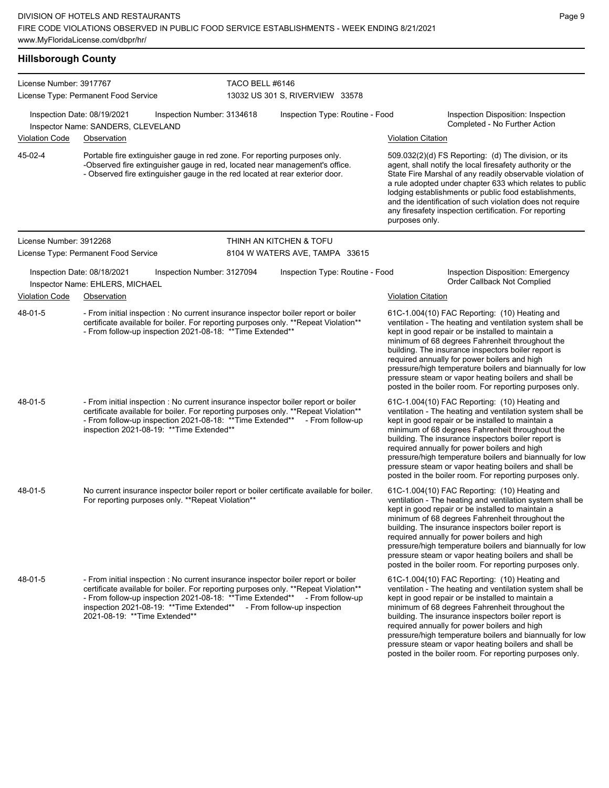| License Number: 3917767 |                                                                                                                                                                                                                                                                                                                                                     | TACO BELL #6146                                                                                                                                                                                                                           |                                 |                           |                                                                                                                                                                                                                                                                                                                                                                                                                                                                                                          |  |  |
|-------------------------|-----------------------------------------------------------------------------------------------------------------------------------------------------------------------------------------------------------------------------------------------------------------------------------------------------------------------------------------------------|-------------------------------------------------------------------------------------------------------------------------------------------------------------------------------------------------------------------------------------------|---------------------------------|---------------------------|----------------------------------------------------------------------------------------------------------------------------------------------------------------------------------------------------------------------------------------------------------------------------------------------------------------------------------------------------------------------------------------------------------------------------------------------------------------------------------------------------------|--|--|
|                         | License Type: Permanent Food Service                                                                                                                                                                                                                                                                                                                |                                                                                                                                                                                                                                           | 13032 US 301 S, RIVERVIEW 33578 |                           |                                                                                                                                                                                                                                                                                                                                                                                                                                                                                                          |  |  |
|                         | Inspection Date: 08/19/2021<br>Inspection Number: 3134618<br>Inspector Name: SANDERS, CLEVELAND                                                                                                                                                                                                                                                     |                                                                                                                                                                                                                                           | Inspection Type: Routine - Food |                           | Inspection Disposition: Inspection<br>Completed - No Further Action                                                                                                                                                                                                                                                                                                                                                                                                                                      |  |  |
| <b>Violation Code</b>   | Observation                                                                                                                                                                                                                                                                                                                                         |                                                                                                                                                                                                                                           |                                 | <b>Violation Citation</b> |                                                                                                                                                                                                                                                                                                                                                                                                                                                                                                          |  |  |
| 45-02-4                 |                                                                                                                                                                                                                                                                                                                                                     | Portable fire extinguisher gauge in red zone. For reporting purposes only.<br>-Observed fire extinguisher gauge in red, located near management's office.<br>- Observed fire extinguisher gauge in the red located at rear exterior door. |                                 |                           | 509.032(2)(d) FS Reporting: (d) The division, or its<br>agent, shall notify the local firesafety authority or the<br>State Fire Marshal of any readily observable violation of<br>a rule adopted under chapter 633 which relates to public<br>lodging establishments or public food establishments,<br>and the identification of such violation does not require<br>any firesafety inspection certification. For reporting<br>purposes only.                                                             |  |  |
| License Number: 3912268 |                                                                                                                                                                                                                                                                                                                                                     |                                                                                                                                                                                                                                           | THINH AN KITCHEN & TOFU         |                           |                                                                                                                                                                                                                                                                                                                                                                                                                                                                                                          |  |  |
|                         | License Type: Permanent Food Service                                                                                                                                                                                                                                                                                                                |                                                                                                                                                                                                                                           | 8104 W WATERS AVE, TAMPA 33615  |                           |                                                                                                                                                                                                                                                                                                                                                                                                                                                                                                          |  |  |
|                         | Inspection Date: 08/18/2021<br>Inspection Number: 3127094<br>Inspector Name: EHLERS, MICHAEL                                                                                                                                                                                                                                                        |                                                                                                                                                                                                                                           | Inspection Type: Routine - Food |                           | Inspection Disposition: Emergency<br>Order Callback Not Complied                                                                                                                                                                                                                                                                                                                                                                                                                                         |  |  |
| <b>Violation Code</b>   | Observation                                                                                                                                                                                                                                                                                                                                         |                                                                                                                                                                                                                                           |                                 | <b>Violation Citation</b> |                                                                                                                                                                                                                                                                                                                                                                                                                                                                                                          |  |  |
| 48-01-5                 | - From initial inspection : No current insurance inspector boiler report or boiler<br>certificate available for boiler. For reporting purposes only. ** Repeat Violation**<br>- From follow-up inspection 2021-08-18: ** Time Extended**                                                                                                            |                                                                                                                                                                                                                                           |                                 |                           | 61C-1.004(10) FAC Reporting: (10) Heating and<br>ventilation - The heating and ventilation system shall be<br>kept in good repair or be installed to maintain a<br>minimum of 68 degrees Fahrenheit throughout the<br>building. The insurance inspectors boiler report is<br>required annually for power boilers and high<br>pressure/high temperature boilers and biannually for low<br>pressure steam or vapor heating boilers and shall be<br>posted in the boiler room. For reporting purposes only. |  |  |
| 48-01-5                 | - From initial inspection : No current insurance inspector boiler report or boiler<br>certificate available for boiler. For reporting purposes only. ** Repeat Violation**<br>- From follow-up inspection 2021-08-18: ** Time Extended**<br>inspection 2021-08-19: ** Time Extended**                                                               |                                                                                                                                                                                                                                           | - From follow-up                |                           | 61C-1.004(10) FAC Reporting: (10) Heating and<br>ventilation - The heating and ventilation system shall be<br>kept in good repair or be installed to maintain a<br>minimum of 68 degrees Fahrenheit throughout the<br>building. The insurance inspectors boiler report is<br>required annually for power boilers and high<br>pressure/high temperature boilers and biannually for low<br>pressure steam or vapor heating boilers and shall be<br>posted in the boiler room. For reporting purposes only. |  |  |
| 48-01-5                 | No current insurance inspector boiler report or boiler certificate available for boiler.<br>For reporting purposes only. **Repeat Violation**                                                                                                                                                                                                       |                                                                                                                                                                                                                                           |                                 |                           | 61C-1.004(10) FAC Reporting: (10) Heating and<br>ventilation - The heating and ventilation system shall be<br>kept in good repair or be installed to maintain a<br>minimum of 68 degrees Fahrenheit throughout the<br>building. The insurance inspectors boiler report is<br>required annually for power boilers and high<br>pressure/high temperature boilers and biannually for low<br>pressure steam or vapor heating boilers and shall be<br>posted in the boiler room. For reporting purposes only. |  |  |
| 48-01-5                 | - From initial inspection : No current insurance inspector boiler report or boiler<br>certificate available for boiler. For reporting purposes only. ** Repeat Violation**<br>- From follow-up inspection 2021-08-18: ** Time Extended**<br>inspection 2021-08-19: ** Time Extended** - From follow-up inspection<br>2021-08-19: ** Time Extended** |                                                                                                                                                                                                                                           | - From follow-up                |                           | 61C-1.004(10) FAC Reporting: (10) Heating and<br>ventilation - The heating and ventilation system shall be<br>kept in good repair or be installed to maintain a<br>minimum of 68 degrees Fahrenheit throughout the<br>building. The insurance inspectors boiler report is<br>required annually for power boilers and high<br>pressure/high temperature boilers and biannually for low<br>pressure steam or vapor heating boilers and shall be<br>posted in the boiler room. For reporting purposes only. |  |  |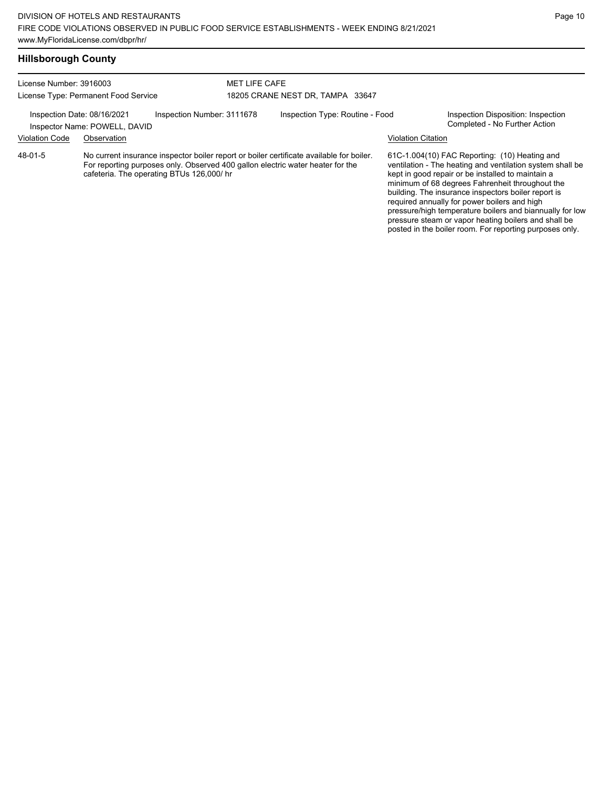| License Number: 3916003<br>License Type: Permanent Food Service |                                                              | <b>MET LIFE CAFE</b>                     |  |                                                                                                                                                                            |                           |                                                                                                                                                                                                                                                                                                                                                                                       |
|-----------------------------------------------------------------|--------------------------------------------------------------|------------------------------------------|--|----------------------------------------------------------------------------------------------------------------------------------------------------------------------------|---------------------------|---------------------------------------------------------------------------------------------------------------------------------------------------------------------------------------------------------------------------------------------------------------------------------------------------------------------------------------------------------------------------------------|
|                                                                 |                                                              | 18205 CRANE NEST DR, TAMPA 33647         |  |                                                                                                                                                                            |                           |                                                                                                                                                                                                                                                                                                                                                                                       |
|                                                                 | Inspection Date: 08/16/2021<br>Inspector Name: POWELL, DAVID | Inspection Number: 3111678               |  | Inspection Type: Routine - Food                                                                                                                                            |                           | Inspection Disposition: Inspection<br>Completed - No Further Action                                                                                                                                                                                                                                                                                                                   |
| <b>Violation Code</b>                                           | Observation                                                  |                                          |  |                                                                                                                                                                            | <b>Violation Citation</b> |                                                                                                                                                                                                                                                                                                                                                                                       |
| 48-01-5                                                         |                                                              | cafeteria. The operating BTUs 126,000/hr |  | No current insurance inspector boiler report or boiler certificate available for boiler.<br>For reporting purposes only. Observed 400 gallon electric water heater for the |                           | 61C-1.004(10) FAC Reporting: (10) Heating and<br>ventilation - The heating and ventilation system shall be<br>kept in good repair or be installed to maintain a<br>minimum of 68 degrees Fahrenheit throughout the<br>building. The insurance inspectors boiler report is<br>required annually for power boilers and high<br>pressure/high temperature boilers and biannually for low |

pressure steam or vapor heating boilers and shall be posted in the boiler room. For reporting purposes only.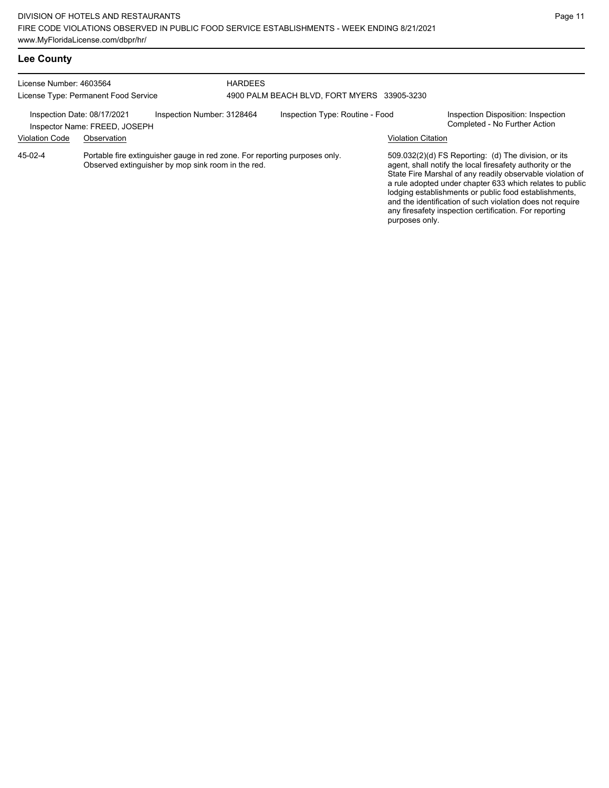|  | <b>Lee County</b> |
|--|-------------------|
|--|-------------------|

| License Number: 4603564     | License Type: Permanent Food Service                                                                                             | <b>HARDEES</b><br>4900 PALM BEACH BLVD, FORT MYERS 33905-3230 |                                 |                    |                                                                                                                                                                                                                                                                                                                                                                                                                            |  |
|-----------------------------|----------------------------------------------------------------------------------------------------------------------------------|---------------------------------------------------------------|---------------------------------|--------------------|----------------------------------------------------------------------------------------------------------------------------------------------------------------------------------------------------------------------------------------------------------------------------------------------------------------------------------------------------------------------------------------------------------------------------|--|
| Inspection Date: 08/17/2021 | Inspection Number: 3128464<br>Inspector Name: FREED, JOSEPH                                                                      |                                                               | Inspection Type: Routine - Food |                    | Inspection Disposition: Inspection<br>Completed - No Further Action                                                                                                                                                                                                                                                                                                                                                        |  |
| <b>Violation Code</b>       | Observation                                                                                                                      |                                                               |                                 | Violation Citation |                                                                                                                                                                                                                                                                                                                                                                                                                            |  |
| 45-02-4                     | Portable fire extinguisher gauge in red zone. For reporting purposes only.<br>Observed extinguisher by mop sink room in the red. |                                                               |                                 | purposes only.     | 509.032(2)(d) FS Reporting: (d) The division, or its<br>agent, shall notify the local firesafety authority or the<br>State Fire Marshal of any readily observable violation of<br>a rule adopted under chapter 633 which relates to public<br>lodging establishments or public food establishments,<br>and the identification of such violation does not require<br>any firesafety inspection certification. For reporting |  |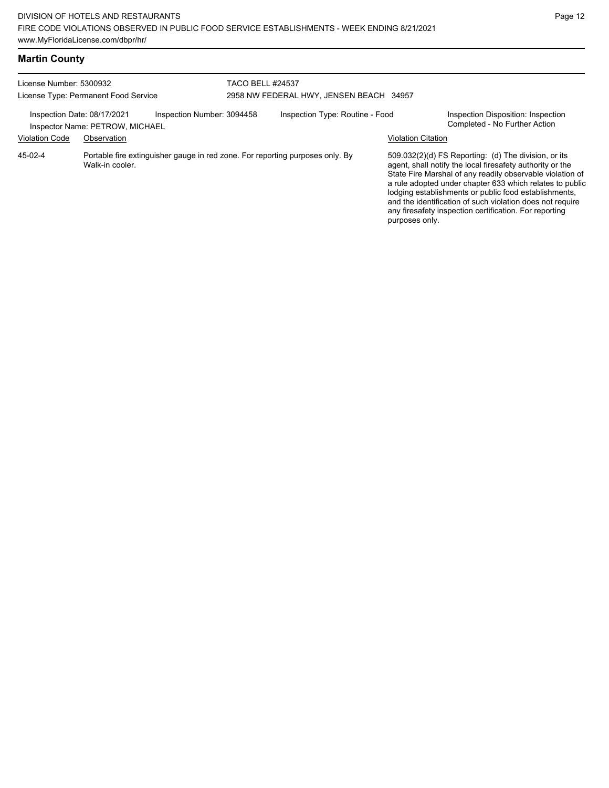# **Martin County**

| License Number: 5300932<br>License Type: Permanent Food Service                              |                 |  | TACO BELL #24537<br>2958 NW FEDERAL HWY, JENSEN BEACH 34957 |                                                                               |                                                                     |                                                                                                                                                                                                                                                                                                                                                                                                                            |
|----------------------------------------------------------------------------------------------|-----------------|--|-------------------------------------------------------------|-------------------------------------------------------------------------------|---------------------------------------------------------------------|----------------------------------------------------------------------------------------------------------------------------------------------------------------------------------------------------------------------------------------------------------------------------------------------------------------------------------------------------------------------------------------------------------------------------|
| Inspection Date: 08/17/2021<br>Inspection Number: 3094458<br>Inspector Name: PETROW, MICHAEL |                 |  | Inspection Type: Routine - Food                             |                                                                               | Inspection Disposition: Inspection<br>Completed - No Further Action |                                                                                                                                                                                                                                                                                                                                                                                                                            |
| <b>Violation Code</b>                                                                        | Observation     |  |                                                             |                                                                               | <b>Violation Citation</b>                                           |                                                                                                                                                                                                                                                                                                                                                                                                                            |
| $45-02-4$                                                                                    | Walk-in cooler. |  |                                                             | Portable fire extinguisher gauge in red zone. For reporting purposes only. By | purposes only.                                                      | 509.032(2)(d) FS Reporting: (d) The division, or its<br>agent, shall notify the local firesafety authority or the<br>State Fire Marshal of any readily observable violation of<br>a rule adopted under chapter 633 which relates to public<br>lodging establishments or public food establishments,<br>and the identification of such violation does not require<br>any firesafety inspection certification. For reporting |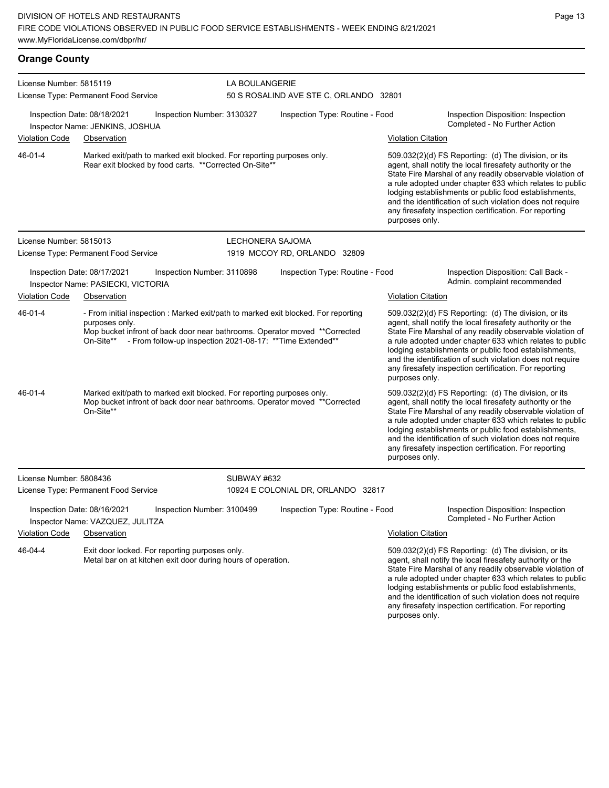| <b>Orange County</b>                                                                         |                                                                                                                                                                                                                                                               |                            |                                        |                           |                                                                                                                                                                                                                                                                                                                                                                                                                                              |  |  |  |
|----------------------------------------------------------------------------------------------|---------------------------------------------------------------------------------------------------------------------------------------------------------------------------------------------------------------------------------------------------------------|----------------------------|----------------------------------------|---------------------------|----------------------------------------------------------------------------------------------------------------------------------------------------------------------------------------------------------------------------------------------------------------------------------------------------------------------------------------------------------------------------------------------------------------------------------------------|--|--|--|
| License Number: 5815119                                                                      |                                                                                                                                                                                                                                                               |                            | LA BOULANGERIE                         |                           |                                                                                                                                                                                                                                                                                                                                                                                                                                              |  |  |  |
|                                                                                              | License Type: Permanent Food Service                                                                                                                                                                                                                          |                            | 50 S ROSALIND AVE STE C, ORLANDO 32801 |                           |                                                                                                                                                                                                                                                                                                                                                                                                                                              |  |  |  |
| Inspection Date: 08/18/2021<br>Inspection Number: 3130327<br>Inspector Name: JENKINS, JOSHUA |                                                                                                                                                                                                                                                               |                            | Inspection Type: Routine - Food        |                           | Inspection Disposition: Inspection<br>Completed - No Further Action                                                                                                                                                                                                                                                                                                                                                                          |  |  |  |
| Violation Code                                                                               | Observation                                                                                                                                                                                                                                                   |                            |                                        |                           | <b>Violation Citation</b>                                                                                                                                                                                                                                                                                                                                                                                                                    |  |  |  |
| 46-01-4                                                                                      | Marked exit/path to marked exit blocked. For reporting purposes only.<br>Rear exit blocked by food carts. ** Corrected On-Site**                                                                                                                              |                            |                                        |                           | 509.032(2)(d) FS Reporting: (d) The division, or its<br>agent, shall notify the local firesafety authority or the<br>State Fire Marshal of any readily observable violation of<br>a rule adopted under chapter 633 which relates to public<br>lodging establishments or public food establishments,<br>and the identification of such violation does not require<br>any firesafety inspection certification. For reporting<br>purposes only. |  |  |  |
| License Number: 5815013                                                                      |                                                                                                                                                                                                                                                               |                            | <b>LECHONERA SAJOMA</b>                |                           |                                                                                                                                                                                                                                                                                                                                                                                                                                              |  |  |  |
|                                                                                              | License Type: Permanent Food Service                                                                                                                                                                                                                          |                            | 1919 MCCOY RD, ORLANDO 32809           |                           |                                                                                                                                                                                                                                                                                                                                                                                                                                              |  |  |  |
|                                                                                              | Inspection Date: 08/17/2021<br>Inspector Name: PASIECKI, VICTORIA                                                                                                                                                                                             | Inspection Number: 3110898 | Inspection Type: Routine - Food        |                           | Inspection Disposition: Call Back -<br>Admin. complaint recommended                                                                                                                                                                                                                                                                                                                                                                          |  |  |  |
| <b>Violation Code</b>                                                                        | Observation                                                                                                                                                                                                                                                   |                            |                                        | <b>Violation Citation</b> |                                                                                                                                                                                                                                                                                                                                                                                                                                              |  |  |  |
| 46-01-4                                                                                      | - From initial inspection : Marked exit/path to marked exit blocked. For reporting<br>purposes only.<br>Mop bucket infront of back door near bathrooms. Operator moved **Corrected<br>- From follow-up inspection 2021-08-17: ** Time Extended**<br>On-Site** |                            |                                        | purposes only.            | 509.032(2)(d) FS Reporting: (d) The division, or its<br>agent, shall notify the local firesafety authority or the<br>State Fire Marshal of any readily observable violation of<br>a rule adopted under chapter 633 which relates to public<br>lodging establishments or public food establishments,<br>and the identification of such violation does not require<br>any firesafety inspection certification. For reporting                   |  |  |  |
| 46-01-4                                                                                      | Marked exit/path to marked exit blocked. For reporting purposes only.<br>Mop bucket infront of back door near bathrooms. Operator moved **Corrected<br>On-Site**                                                                                              |                            |                                        | purposes only.            | 509.032(2)(d) FS Reporting: (d) The division, or its<br>agent, shall notify the local firesafety authority or the<br>State Fire Marshal of any readily observable violation of<br>a rule adopted under chapter 633 which relates to public<br>lodging establishments or public food establishments,<br>and the identification of such violation does not require<br>any firesafety inspection certification. For reporting                   |  |  |  |
| License Number: 5808436                                                                      |                                                                                                                                                                                                                                                               | SUBWAY #632                |                                        |                           |                                                                                                                                                                                                                                                                                                                                                                                                                                              |  |  |  |
|                                                                                              | License Type: Permanent Food Service                                                                                                                                                                                                                          |                            | 10924 E COLONIAL DR, ORLANDO 32817     |                           |                                                                                                                                                                                                                                                                                                                                                                                                                                              |  |  |  |
|                                                                                              | Inspection Date: 08/16/2021<br>Inspector Name: VAZQUEZ, JULITZA                                                                                                                                                                                               | Inspection Number: 3100499 | Inspection Type: Routine - Food        |                           | Inspection Disposition: Inspection<br>Completed - No Further Action                                                                                                                                                                                                                                                                                                                                                                          |  |  |  |
| <b>Violation Code</b>                                                                        | Observation                                                                                                                                                                                                                                                   |                            |                                        | <b>Violation Citation</b> |                                                                                                                                                                                                                                                                                                                                                                                                                                              |  |  |  |

Exit door locked. For reporting purposes only. Metal bar on at kitchen exit door during hours of operation. 46-04-4

509.032(2)(d) FS Reporting: (d) The division, or its agent, shall notify the local firesafety authority or the State Fire Marshal of any readily observable violation of a rule adopted under chapter 633 which relates to public lodging establishments or public food establishments, and the identification of such violation does not require any firesafety inspection certification. For reporting purposes only.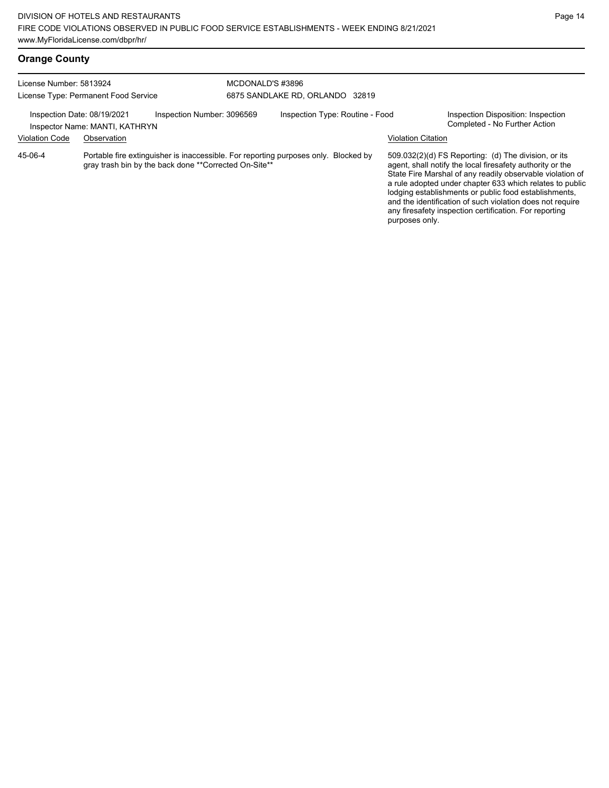# **Orange County**

| License Number: 5813924              |                                                               |                                                       | MCDONALD'S #3896                |                                                                                     |                                                                                                                                                                                                                                                                                                                                                                                                                                                |  |  |
|--------------------------------------|---------------------------------------------------------------|-------------------------------------------------------|---------------------------------|-------------------------------------------------------------------------------------|------------------------------------------------------------------------------------------------------------------------------------------------------------------------------------------------------------------------------------------------------------------------------------------------------------------------------------------------------------------------------------------------------------------------------------------------|--|--|
| License Type: Permanent Food Service |                                                               |                                                       | 6875 SANDLAKE RD. ORLANDO 32819 |                                                                                     |                                                                                                                                                                                                                                                                                                                                                                                                                                                |  |  |
|                                      | Inspection Date: 08/19/2021<br>Inspector Name: MANTI, KATHRYN | Inspection Number: 3096569                            |                                 | Inspection Type: Routine - Food                                                     | Inspection Disposition: Inspection<br>Completed - No Further Action                                                                                                                                                                                                                                                                                                                                                                            |  |  |
| <b>Violation Code</b>                | Observation                                                   |                                                       |                                 |                                                                                     | <b>Violation Citation</b>                                                                                                                                                                                                                                                                                                                                                                                                                      |  |  |
| 45-06-4                              |                                                               | gray trash bin by the back done **Corrected On-Site** |                                 | Portable fire extinguisher is inaccessible. For reporting purposes only. Blocked by | $509.032(2)(d)$ FS Reporting: (d) The division, or its<br>agent, shall notify the local firesafety authority or the<br>State Fire Marshal of any readily observable violation of<br>a rule adopted under chapter 633 which relates to public<br>lodging establishments or public food establishments,<br>and the identification of such violation does not require<br>any firesafety inspection certification. For reporting<br>purposes only. |  |  |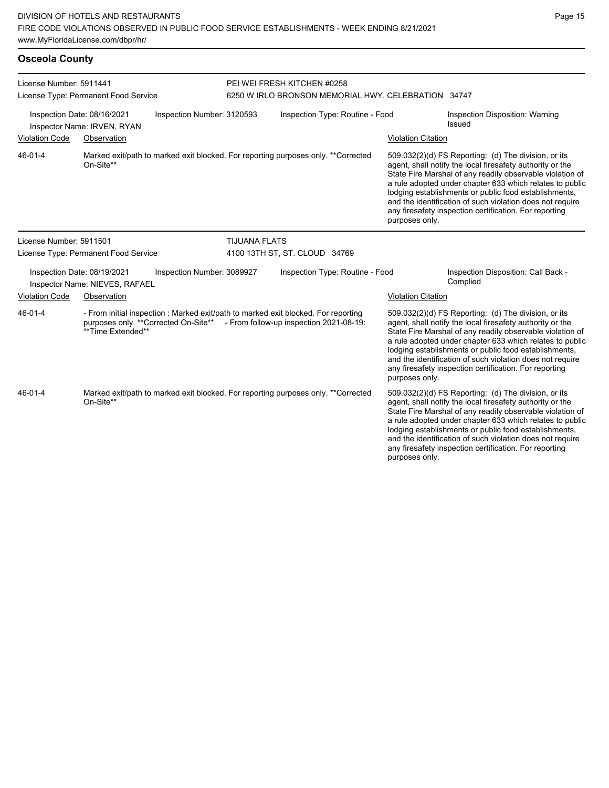### **Osceola County**

| License Number: 5911441<br>License Type: Permanent Food Service<br>Inspection Date: 08/16/2021<br>Inspection Number: 3120593<br>Inspector Name: IRVEN, RYAN |                                                               |                                                                                   | PEI WEI FRESH KITCHEN #0258<br>6250 W IRLO BRONSON MEMORIAL HWY, CELEBRATION 34747 |                                                                                                                                                                                                                                                                                                                                                                                                                                              |                           |                                                                                                                                                                                                                                                                                                                                                                                                                            |  |
|-------------------------------------------------------------------------------------------------------------------------------------------------------------|---------------------------------------------------------------|-----------------------------------------------------------------------------------|------------------------------------------------------------------------------------|----------------------------------------------------------------------------------------------------------------------------------------------------------------------------------------------------------------------------------------------------------------------------------------------------------------------------------------------------------------------------------------------------------------------------------------------|---------------------------|----------------------------------------------------------------------------------------------------------------------------------------------------------------------------------------------------------------------------------------------------------------------------------------------------------------------------------------------------------------------------------------------------------------------------|--|
|                                                                                                                                                             |                                                               |                                                                                   | Inspection Type: Routine - Food                                                    |                                                                                                                                                                                                                                                                                                                                                                                                                                              |                           | Inspection Disposition: Warning<br>Issued                                                                                                                                                                                                                                                                                                                                                                                  |  |
| <b>Violation Code</b>                                                                                                                                       | Observation                                                   |                                                                                   |                                                                                    |                                                                                                                                                                                                                                                                                                                                                                                                                                              | <b>Violation Citation</b> |                                                                                                                                                                                                                                                                                                                                                                                                                            |  |
| 46-01-4<br>On-Site**                                                                                                                                        |                                                               | Marked exit/path to marked exit blocked. For reporting purposes only. **Corrected |                                                                                    | 509.032(2)(d) FS Reporting: (d) The division, or its<br>agent, shall notify the local firesafety authority or the<br>State Fire Marshal of any readily observable violation of<br>a rule adopted under chapter 633 which relates to public<br>lodging establishments or public food establishments,<br>and the identification of such violation does not require<br>any firesafety inspection certification. For reporting<br>purposes only. |                           |                                                                                                                                                                                                                                                                                                                                                                                                                            |  |
| License Number: 5911501                                                                                                                                     |                                                               |                                                                                   | <b>TIJUANA FLATS</b>                                                               |                                                                                                                                                                                                                                                                                                                                                                                                                                              |                           |                                                                                                                                                                                                                                                                                                                                                                                                                            |  |
| License Type: Permanent Food Service                                                                                                                        |                                                               | 4100 13TH ST, ST. CLOUD 34769                                                     |                                                                                    |                                                                                                                                                                                                                                                                                                                                                                                                                                              |                           |                                                                                                                                                                                                                                                                                                                                                                                                                            |  |
|                                                                                                                                                             | Inspection Date: 08/19/2021<br>Inspector Name: NIEVES, RAFAEL | Inspection Number: 3089927                                                        |                                                                                    | Inspection Type: Routine - Food                                                                                                                                                                                                                                                                                                                                                                                                              |                           | Inspection Disposition: Call Back -<br>Complied                                                                                                                                                                                                                                                                                                                                                                            |  |
| <b>Violation Code</b>                                                                                                                                       | Observation                                                   |                                                                                   |                                                                                    |                                                                                                                                                                                                                                                                                                                                                                                                                                              | <b>Violation Citation</b> |                                                                                                                                                                                                                                                                                                                                                                                                                            |  |
| 46-01-4                                                                                                                                                     | **Time Extended**                                             | purposes only. ** Corrected On-Site**                                             |                                                                                    | - From initial inspection : Marked exit/path to marked exit blocked. For reporting<br>- From follow-up inspection 2021-08-19:                                                                                                                                                                                                                                                                                                                | purposes only.            | 509.032(2)(d) FS Reporting: (d) The division, or its<br>agent, shall notify the local firesafety authority or the<br>State Fire Marshal of any readily observable violation of<br>a rule adopted under chapter 633 which relates to public<br>lodging establishments or public food establishments,<br>and the identification of such violation does not require<br>any firesafety inspection certification. For reporting |  |
| 46-01-4                                                                                                                                                     | On-Site**                                                     |                                                                                   |                                                                                    | Marked exit/path to marked exit blocked. For reporting purposes only. **Corrected                                                                                                                                                                                                                                                                                                                                                            | purposes only.            | 509.032(2)(d) FS Reporting: (d) The division, or its<br>agent, shall notify the local firesafety authority or the<br>State Fire Marshal of any readily observable violation of<br>a rule adopted under chapter 633 which relates to public<br>lodging establishments or public food establishments,<br>and the identification of such violation does not require<br>any firesafety inspection certification. For reporting |  |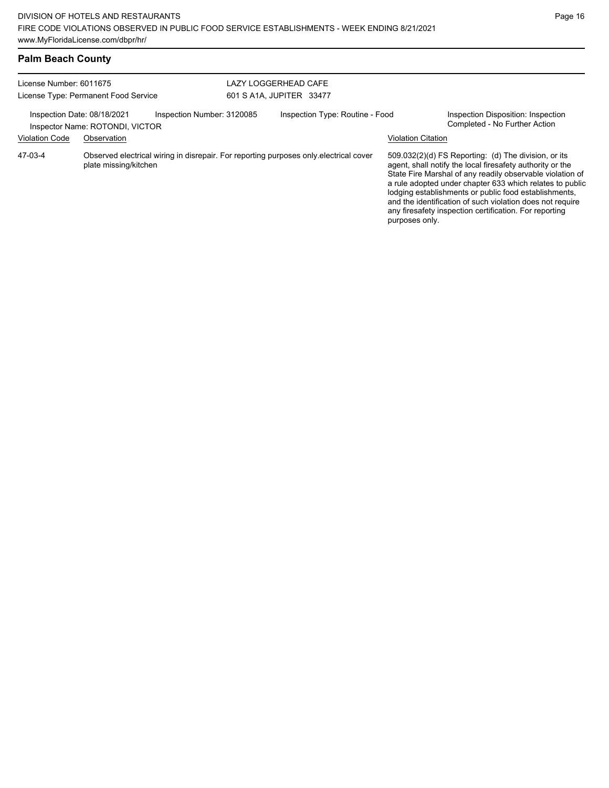| <b>Palm Beach County</b>                                                                                                                                                  |                       |                            |                                                                                       |                                                                     |                                                                                                                                                                                                                                                                                                                                                                                                                            |
|---------------------------------------------------------------------------------------------------------------------------------------------------------------------------|-----------------------|----------------------------|---------------------------------------------------------------------------------------|---------------------------------------------------------------------|----------------------------------------------------------------------------------------------------------------------------------------------------------------------------------------------------------------------------------------------------------------------------------------------------------------------------------------------------------------------------------------------------------------------------|
| License Number: 6011675<br>License Type: Permanent Food Service<br>Inspection Date: 08/18/2021<br>Inspector Name: ROTONDI, VICTOR<br><b>Violation Code</b><br>Observation |                       |                            | LAZY LOGGERHEAD CAFE<br>601 S A1A, JUPITER 33477                                      |                                                                     |                                                                                                                                                                                                                                                                                                                                                                                                                            |
|                                                                                                                                                                           |                       | Inspection Number: 3120085 | Inspection Type: Routine - Food                                                       | Inspection Disposition: Inspection<br>Completed - No Further Action |                                                                                                                                                                                                                                                                                                                                                                                                                            |
| 47-03-4                                                                                                                                                                   | plate missing/kitchen |                            | Observed electrical wiring in disrepair. For reporting purposes only electrical cover | <b>Violation Citation</b><br>purposes only.                         | 509.032(2)(d) FS Reporting: (d) The division, or its<br>agent, shall notify the local firesafety authority or the<br>State Fire Marshal of any readily observable violation of<br>a rule adopted under chapter 633 which relates to public<br>lodging establishments or public food establishments,<br>and the identification of such violation does not require<br>any firesafety inspection certification. For reporting |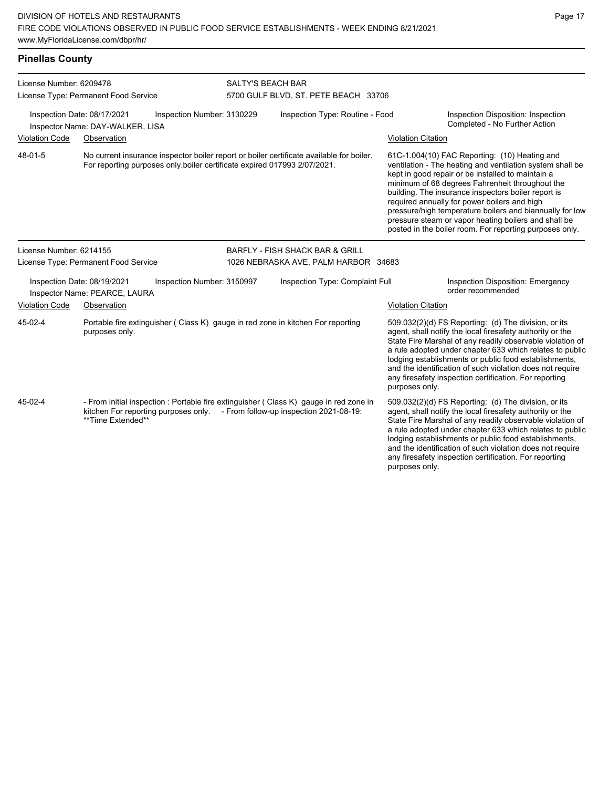| <b>Pinellas County</b>                                                                        |                                                              |                                                                          |                                                                                 |                                                                                                                                                                       |                                                                                                                                                                                                                                                                                                                                                                                                                                                                                                          |                                                                                                                                                                                                                                                                                                                                                                                                                                              |  |  |
|-----------------------------------------------------------------------------------------------|--------------------------------------------------------------|--------------------------------------------------------------------------|---------------------------------------------------------------------------------|-----------------------------------------------------------------------------------------------------------------------------------------------------------------------|----------------------------------------------------------------------------------------------------------------------------------------------------------------------------------------------------------------------------------------------------------------------------------------------------------------------------------------------------------------------------------------------------------------------------------------------------------------------------------------------------------|----------------------------------------------------------------------------------------------------------------------------------------------------------------------------------------------------------------------------------------------------------------------------------------------------------------------------------------------------------------------------------------------------------------------------------------------|--|--|
| License Number: 6209478                                                                       |                                                              |                                                                          | <b>SALTY'S BEACH BAR</b>                                                        |                                                                                                                                                                       |                                                                                                                                                                                                                                                                                                                                                                                                                                                                                                          |                                                                                                                                                                                                                                                                                                                                                                                                                                              |  |  |
|                                                                                               | License Type: Permanent Food Service                         |                                                                          |                                                                                 | 5700 GULF BLVD, ST. PETE BEACH 33706                                                                                                                                  |                                                                                                                                                                                                                                                                                                                                                                                                                                                                                                          |                                                                                                                                                                                                                                                                                                                                                                                                                                              |  |  |
| Inspection Date: 08/17/2021<br>Inspection Number: 3130229<br>Inspector Name: DAY-WALKER, LISA |                                                              |                                                                          | Inspection Type: Routine - Food                                                 |                                                                                                                                                                       | Inspection Disposition: Inspection<br>Completed - No Further Action                                                                                                                                                                                                                                                                                                                                                                                                                                      |                                                                                                                                                                                                                                                                                                                                                                                                                                              |  |  |
| <b>Violation Code</b><br>Observation                                                          |                                                              |                                                                          |                                                                                 | <b>Violation Citation</b>                                                                                                                                             |                                                                                                                                                                                                                                                                                                                                                                                                                                                                                                          |                                                                                                                                                                                                                                                                                                                                                                                                                                              |  |  |
| 48-01-5                                                                                       |                                                              | For reporting purposes only boiler certificate expired 017993 2/07/2021. |                                                                                 | No current insurance inspector boiler report or boiler certificate available for boiler.                                                                              | 61C-1.004(10) FAC Reporting: (10) Heating and<br>ventilation - The heating and ventilation system shall be<br>kept in good repair or be installed to maintain a<br>minimum of 68 degrees Fahrenheit throughout the<br>building. The insurance inspectors boiler report is<br>required annually for power boilers and high<br>pressure/high temperature boilers and biannually for low<br>pressure steam or vapor heating boilers and shall be<br>posted in the boiler room. For reporting purposes only. |                                                                                                                                                                                                                                                                                                                                                                                                                                              |  |  |
| License Number: 6214155                                                                       |                                                              |                                                                          | <b>BARFLY - FISH SHACK BAR &amp; GRILL</b>                                      |                                                                                                                                                                       |                                                                                                                                                                                                                                                                                                                                                                                                                                                                                                          |                                                                                                                                                                                                                                                                                                                                                                                                                                              |  |  |
|                                                                                               | License Type: Permanent Food Service                         |                                                                          |                                                                                 | 1026 NEBRASKA AVE, PALM HARBOR 34683                                                                                                                                  |                                                                                                                                                                                                                                                                                                                                                                                                                                                                                                          |                                                                                                                                                                                                                                                                                                                                                                                                                                              |  |  |
|                                                                                               | Inspection Date: 08/19/2021<br>Inspector Name: PEARCE, LAURA | Inspection Number: 3150997                                               |                                                                                 | Inspection Type: Complaint Full                                                                                                                                       |                                                                                                                                                                                                                                                                                                                                                                                                                                                                                                          | Inspection Disposition: Emergency<br>order recommended                                                                                                                                                                                                                                                                                                                                                                                       |  |  |
| <b>Violation Code</b>                                                                         | Observation                                                  |                                                                          |                                                                                 |                                                                                                                                                                       | <b>Violation Citation</b>                                                                                                                                                                                                                                                                                                                                                                                                                                                                                |                                                                                                                                                                                                                                                                                                                                                                                                                                              |  |  |
| 45-02-4                                                                                       | purposes only.                                               |                                                                          | Portable fire extinguisher (Class K) gauge in red zone in kitchen For reporting |                                                                                                                                                                       |                                                                                                                                                                                                                                                                                                                                                                                                                                                                                                          | 509.032(2)(d) FS Reporting: (d) The division, or its<br>agent, shall notify the local firesafety authority or the<br>State Fire Marshal of any readily observable violation of<br>a rule adopted under chapter 633 which relates to public<br>lodging establishments or public food establishments,<br>and the identification of such violation does not require<br>any firesafety inspection certification. For reporting<br>purposes only. |  |  |
| 45-02-4                                                                                       | **Time Extended**                                            |                                                                          |                                                                                 | - From initial inspection : Portable fire extinguisher (Class K) gauge in red zone in<br>kitchen For reporting purposes only. - From follow-up inspection 2021-08-19: |                                                                                                                                                                                                                                                                                                                                                                                                                                                                                                          | 509.032(2)(d) FS Reporting: (d) The division, or its<br>agent, shall notify the local firesafety authority or the<br>State Fire Marshal of any readily observable violation of<br>a rule adopted under chapter 633 which relates to public<br>lodging establishments or public food establishments,<br>and the identification of such violation does not require<br>any firesafety inspection certification. For reporting                   |  |  |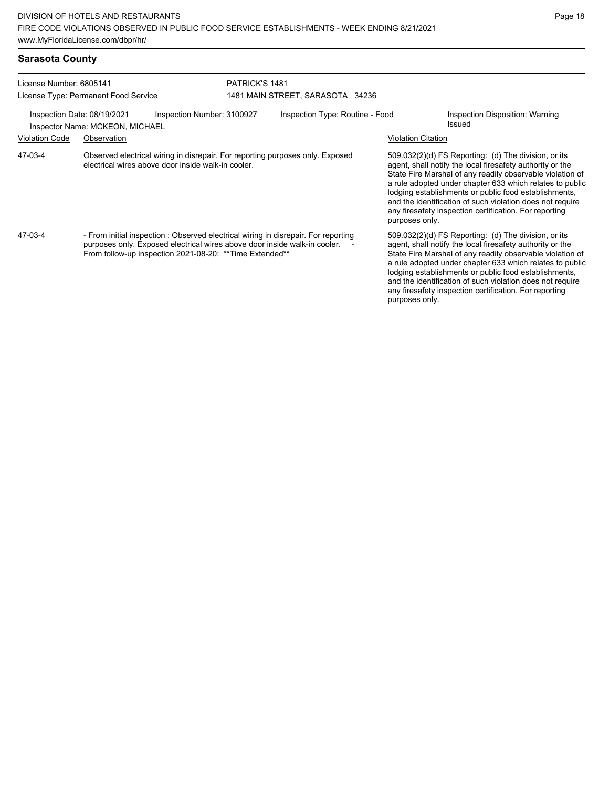| <b>Sarasota County</b>                                          |                                                                                                                                                                                                                               |  |                                                    |                           |                                                                                                                                                                                                                                                                                                                                                                                                                            |  |  |
|-----------------------------------------------------------------|-------------------------------------------------------------------------------------------------------------------------------------------------------------------------------------------------------------------------------|--|----------------------------------------------------|---------------------------|----------------------------------------------------------------------------------------------------------------------------------------------------------------------------------------------------------------------------------------------------------------------------------------------------------------------------------------------------------------------------------------------------------------------------|--|--|
| License Number: 6805141<br>License Type: Permanent Food Service |                                                                                                                                                                                                                               |  | PATRICK'S 1481<br>1481 MAIN STREET, SARASOTA 34236 |                           |                                                                                                                                                                                                                                                                                                                                                                                                                            |  |  |
|                                                                 | Inspection Date: 08/19/2021<br>Inspection Number: 3100927<br>Inspector Name: MCKEON, MICHAEL                                                                                                                                  |  | Inspection Type: Routine - Food                    |                           | Inspection Disposition: Warning<br>Issued                                                                                                                                                                                                                                                                                                                                                                                  |  |  |
| <b>Violation Code</b>                                           | Observation                                                                                                                                                                                                                   |  |                                                    | <b>Violation Citation</b> |                                                                                                                                                                                                                                                                                                                                                                                                                            |  |  |
| 47-03-4                                                         | Observed electrical wiring in disrepair. For reporting purposes only. Exposed<br>electrical wires above door inside walk-in cooler.                                                                                           |  |                                                    | purposes only.            | 509.032(2)(d) FS Reporting: (d) The division, or its<br>agent, shall notify the local firesafety authority or the<br>State Fire Marshal of any readily observable violation of<br>a rule adopted under chapter 633 which relates to public<br>lodging establishments or public food establishments,<br>and the identification of such violation does not require<br>any firesafety inspection certification. For reporting |  |  |
| 47-03-4                                                         | - From initial inspection : Observed electrical wiring in disrepair. For reporting<br>purposes only. Exposed electrical wires above door inside walk-in cooler. -<br>From follow-up inspection 2021-08-20: ** Time Extended** |  |                                                    | purposes only.            | 509.032(2)(d) FS Reporting: (d) The division, or its<br>agent, shall notify the local firesafety authority or the<br>State Fire Marshal of any readily observable violation of<br>a rule adopted under chapter 633 which relates to public<br>lodging establishments or public food establishments,<br>and the identification of such violation does not require<br>any firesafety inspection certification. For reporting |  |  |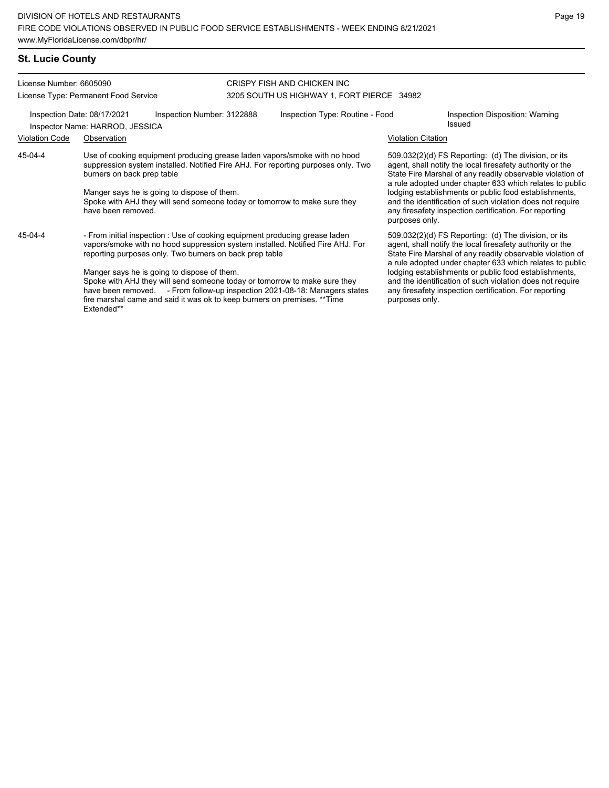#### License Number: 6605090 License Type: Permanent Food Service CRISPY FISH AND CHICKEN INC 3205 SOUTH US HIGHWAY 1, FORT PIERCE 34982 Inspection Date: 08/17/2021 Inspection Number: 3122888 Inspection Type: Routine - Food Inspection Disposition: Warning Issued Inspector Name: HARROD, JESSICA Violation Code Observation Violation Citation Use of cooking equipment producing grease laden vapors/smoke with no hood suppression system installed. Notified Fire AHJ. For reporting purposes only. Two burners on back prep table Manger says he is going to dispose of them. Spoke with AHJ they will send someone today or tomorrow to make sure they have been removed. 509.032(2)(d) FS Reporting: (d) The division, or its agent, shall notify the local firesafety authority or the State Fire Marshal of any readily observable violation of a rule adopted under chapter 633 which relates to public lodging establishments or public food establishments, and the identification of such violation does not require any firesafety inspection certification. For reporting purposes only. 45-04-4 - From initial inspection : Use of cooking equipment producing grease laden vapors/smoke with no hood suppression system installed. Notified Fire AHJ. For reporting purposes only. Two burners on back prep table Manger says he is going to dispose of them. Spoke with AHJ they will send someone today or tomorrow to make sure they have been removed. - From follow-up inspection 2021-08-18: Managers states fire marshal came and said it was ok to keep burners on premises. \*\*Time Extended\*\* 509.032(2)(d) FS Reporting: (d) The division, or its agent, shall notify the local firesafety authority or the State Fire Marshal of any readily observable violation of a rule adopted under chapter 633 which relates to public lodging establishments or public food establishments, and the identification of such violation does not require any firesafety inspection certification. For reporting purposes only. 45-04-4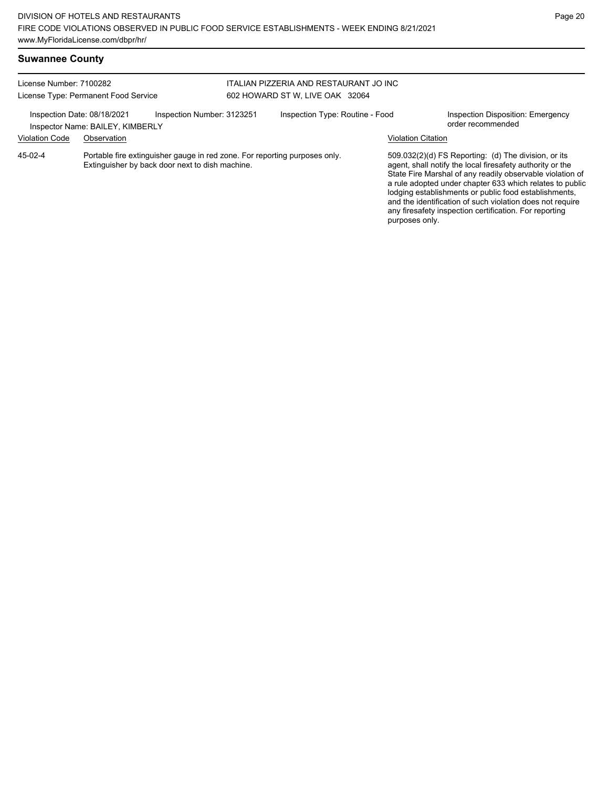# **Suwannee County**

| License Number: 7100282                              | License Type: Permanent Food Service                                                                                          | ITALIAN PIZZERIA AND RESTAURANT JO INC<br>602 HOWARD ST W, LIVE OAK 32064 |                                 |  |                                                                                                                                                                                                                                                                                                                                                                                                                                                |
|------------------------------------------------------|-------------------------------------------------------------------------------------------------------------------------------|---------------------------------------------------------------------------|---------------------------------|--|------------------------------------------------------------------------------------------------------------------------------------------------------------------------------------------------------------------------------------------------------------------------------------------------------------------------------------------------------------------------------------------------------------------------------------------------|
| Inspection Date: 08/18/2021<br><b>Violation Code</b> | Inspection Number: 3123251<br>Inspector Name: BAILEY, KIMBERLY<br>Observation                                                 |                                                                           | Inspection Type: Routine - Food |  | Inspection Disposition: Emergency<br>order recommended<br><b>Violation Citation</b>                                                                                                                                                                                                                                                                                                                                                            |
| 45-02-4                                              | Portable fire extinguisher gauge in red zone. For reporting purposes only.<br>Extinguisher by back door next to dish machine. |                                                                           |                                 |  | $509.032(2)(d)$ FS Reporting: (d) The division, or its<br>agent, shall notify the local firesafety authority or the<br>State Fire Marshal of any readily observable violation of<br>a rule adopted under chapter 633 which relates to public<br>lodging establishments or public food establishments,<br>and the identification of such violation does not require<br>any firesafety inspection certification. For reporting<br>purposes only. |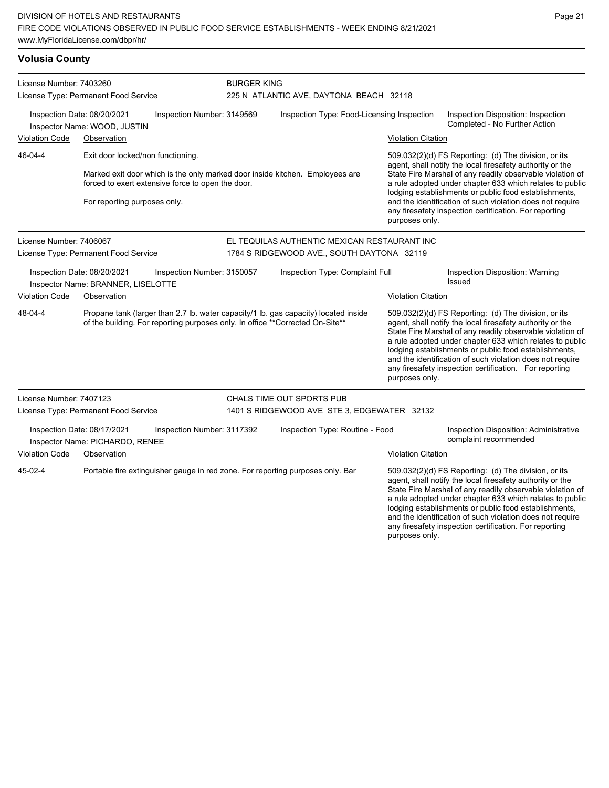### **Volusia County**

| License Number: 7403260<br>License Type: Permanent Food Service   |                                                                   | <b>BURGER KING</b>                                | 225 N ATLANTIC AVE, DAYTONA BEACH 32118                                                                                                                               |  |                                                                                                                                                                                                                                                                                                                                                                                                                                              |                                                                                                                                                                                                                                                                                                                                                                                                                            |
|-------------------------------------------------------------------|-------------------------------------------------------------------|---------------------------------------------------|-----------------------------------------------------------------------------------------------------------------------------------------------------------------------|--|----------------------------------------------------------------------------------------------------------------------------------------------------------------------------------------------------------------------------------------------------------------------------------------------------------------------------------------------------------------------------------------------------------------------------------------------|----------------------------------------------------------------------------------------------------------------------------------------------------------------------------------------------------------------------------------------------------------------------------------------------------------------------------------------------------------------------------------------------------------------------------|
| Inspection Date: 08/20/2021<br>Inspector Name: WOOD, JUSTIN       |                                                                   | Inspection Number: 3149569                        | Inspection Type: Food-Licensing Inspection                                                                                                                            |  |                                                                                                                                                                                                                                                                                                                                                                                                                                              | Inspection Disposition: Inspection<br>Completed - No Further Action                                                                                                                                                                                                                                                                                                                                                        |
| <b>Violation Code</b>                                             | Observation                                                       |                                                   |                                                                                                                                                                       |  | <b>Violation Citation</b>                                                                                                                                                                                                                                                                                                                                                                                                                    |                                                                                                                                                                                                                                                                                                                                                                                                                            |
| 46-04-4                                                           | Exit door locked/non functioning.<br>For reporting purposes only. | forced to exert extensive force to open the door. | Marked exit door which is the only marked door inside kitchen. Employees are                                                                                          |  | 509.032(2)(d) FS Reporting: (d) The division, or its<br>agent, shall notify the local firesafety authority or the<br>State Fire Marshal of any readily observable violation of<br>a rule adopted under chapter 633 which relates to public<br>lodging establishments or public food establishments,<br>and the identification of such violation does not require<br>any firesafety inspection certification. For reporting<br>purposes only. |                                                                                                                                                                                                                                                                                                                                                                                                                            |
| License Number: 7406067                                           | License Type: Permanent Food Service                              |                                                   | EL TEQUILAS AUTHENTIC MEXICAN RESTAURANT INC<br>1784 S RIDGEWOOD AVE., SOUTH DAYTONA 32119                                                                            |  |                                                                                                                                                                                                                                                                                                                                                                                                                                              |                                                                                                                                                                                                                                                                                                                                                                                                                            |
| Inspection Date: 08/20/2021<br>Inspector Name: BRANNER, LISELOTTE |                                                                   | Inspection Number: 3150057                        | Inspection Type: Complaint Full                                                                                                                                       |  |                                                                                                                                                                                                                                                                                                                                                                                                                                              | Inspection Disposition: Warning<br><b>Issued</b>                                                                                                                                                                                                                                                                                                                                                                           |
| <b>Violation Code</b>                                             | Observation                                                       |                                                   |                                                                                                                                                                       |  | <b>Violation Citation</b>                                                                                                                                                                                                                                                                                                                                                                                                                    |                                                                                                                                                                                                                                                                                                                                                                                                                            |
| 48-04-4                                                           |                                                                   |                                                   | Propane tank (larger than 2.7 lb. water capacity/1 lb. gas capacity) located inside<br>of the building. For reporting purposes only. In office ** Corrected On-Site** |  | purposes only.                                                                                                                                                                                                                                                                                                                                                                                                                               | 509.032(2)(d) FS Reporting: (d) The division, or its<br>agent, shall notify the local firesafety authority or the<br>State Fire Marshal of any readily observable violation of<br>a rule adopted under chapter 633 which relates to public<br>lodging establishments or public food establishments,<br>and the identification of such violation does not require<br>any firesafety inspection certification. For reporting |
| License Number: 7407123                                           |                                                                   |                                                   | CHALS TIME OUT SPORTS PUB                                                                                                                                             |  |                                                                                                                                                                                                                                                                                                                                                                                                                                              |                                                                                                                                                                                                                                                                                                                                                                                                                            |
|                                                                   | License Type: Permanent Food Service                              |                                                   | 1401 S RIDGEWOOD AVE STE 3, EDGEWATER 32132                                                                                                                           |  |                                                                                                                                                                                                                                                                                                                                                                                                                                              |                                                                                                                                                                                                                                                                                                                                                                                                                            |
|                                                                   | Inspection Date: 08/17/2021<br>Inspector Name: PICHARDO, RENEE    | Inspection Number: 3117392                        | Inspection Type: Routine - Food                                                                                                                                       |  |                                                                                                                                                                                                                                                                                                                                                                                                                                              | Inspection Disposition: Administrative<br>complaint recommended                                                                                                                                                                                                                                                                                                                                                            |
| <b>Violation Code</b>                                             | Observation                                                       |                                                   |                                                                                                                                                                       |  | <b>Violation Citation</b>                                                                                                                                                                                                                                                                                                                                                                                                                    |                                                                                                                                                                                                                                                                                                                                                                                                                            |
| 45-02-4                                                           |                                                                   |                                                   | Portable fire extinguisher gauge in red zone. For reporting purposes only. Bar                                                                                        |  |                                                                                                                                                                                                                                                                                                                                                                                                                                              | 509.032(2)(d) FS Reporting: (d) The division, or its<br>agent, shall notify the local firesafety authority or the<br>State Fire Marshal of any readily observable violation of<br>a rule adopted under chapter 633 which relates to public<br>lodging establishments or public food establishments,                                                                                                                        |

and the identification of such violation does not require any firesafety inspection certification. For reporting